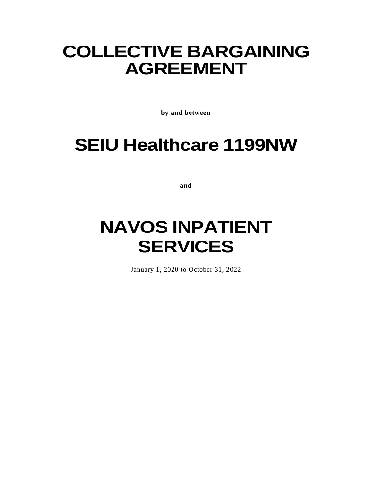# **COLLECTIVE BARGAINING AGREEMENT**

**by and between**

# **SEIU Healthcare 1199NW**

**and**

# **NAVOS INPATIENT SERVICES**

January 1, 2020 to October 31, 2022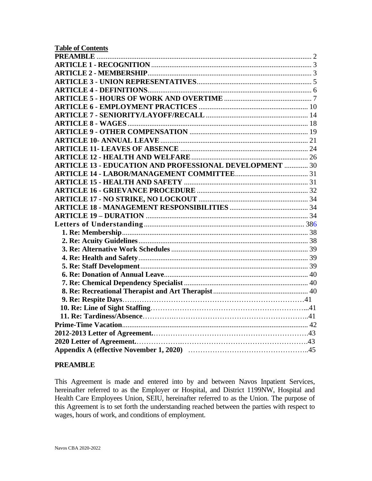| <b>Table of Contents</b>                                       |  |
|----------------------------------------------------------------|--|
|                                                                |  |
|                                                                |  |
|                                                                |  |
|                                                                |  |
|                                                                |  |
|                                                                |  |
|                                                                |  |
|                                                                |  |
|                                                                |  |
|                                                                |  |
|                                                                |  |
|                                                                |  |
|                                                                |  |
| <b>ARTICLE 13 - EDUCATION AND PROFESSIONAL DEVELOPMENT  30</b> |  |
|                                                                |  |
|                                                                |  |
|                                                                |  |
|                                                                |  |
|                                                                |  |
|                                                                |  |
|                                                                |  |
|                                                                |  |
|                                                                |  |
|                                                                |  |
|                                                                |  |
|                                                                |  |
|                                                                |  |
|                                                                |  |
|                                                                |  |
|                                                                |  |
|                                                                |  |
|                                                                |  |
|                                                                |  |
|                                                                |  |
|                                                                |  |
|                                                                |  |
|                                                                |  |

#### <span id="page-1-0"></span>**PREAMBLE**

This Agreement is made and entered into by and between Navos Inpatient Services, hereinafter referred to as the Employer or Hospital, and District 1199NW, Hospital and Health Care Employees Union, SEIU, hereinafter referred to as the Union. The purpose of this Agreement is to set forth the understanding reached between the parties with respect to wages, hours of work, and conditions of employment.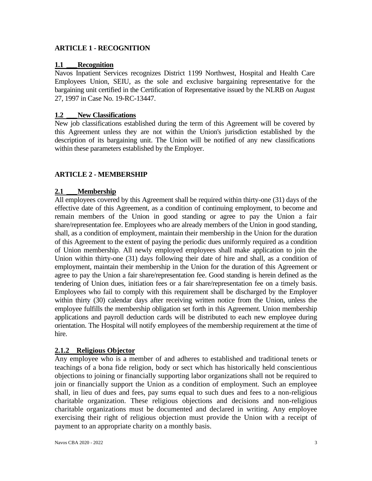# <span id="page-2-0"></span>**ARTICLE 1 - RECOGNITION**

#### **1.1 \_\_\_Recognition**

Navos Inpatient Services recognizes District 1199 Northwest, Hospital and Health Care Employees Union, SEIU, as the sole and exclusive bargaining representative for the bargaining unit certified in the Certification of Representative issued by the NLRB on August 27, 1997 in Case No. 19-RC-13447.

#### **1.2 \_\_\_New Classifications**

New job classifications established during the term of this Agreement will be covered by this Agreement unless they are not within the Union's jurisdiction established by the description of its bargaining unit. The Union will be notified of any new classifications within these parameters established by the Employer.

#### <span id="page-2-1"></span>**ARTICLE 2 - MEMBERSHIP**

#### **2.1 \_\_\_Membership**

All employees covered by this Agreement shall be required within thirty-one (31) days of the effective date of this Agreement, as a condition of continuing employment, to become and remain members of the Union in good standing or agree to pay the Union a fair share/representation fee. Employees who are already members of the Union in good standing, shall, as a condition of employment, maintain their membership in the Union for the duration of this Agreement to the extent of paying the periodic dues uniformly required as a condition of Union membership. All newly employed employees shall make application to join the Union within thirty-one (31) days following their date of hire and shall, as a condition of employment, maintain their membership in the Union for the duration of this Agreement or agree to pay the Union a fair share/representation fee. Good standing is herein defined as the tendering of Union dues, initiation fees or a fair share/representation fee on a timely basis. Employees who fail to comply with this requirement shall be discharged by the Employer within thirty (30) calendar days after receiving written notice from the Union, unless the employee fulfills the membership obligation set forth in this Agreement. Union membership applications and payroll deduction cards will be distributed to each new employee during orientation. The Hospital will notify employees of the membership requirement at the time of hire.

#### **2.1.2 Religious Objector**

Any employee who is a member of and adheres to established and traditional tenets or teachings of a bona fide religion, body or sect which has historically held conscientious objections to joining or financially supporting labor organizations shall not be required to join or financially support the Union as a condition of employment. Such an employee shall, in lieu of dues and fees, pay sums equal to such dues and fees to a non-religious charitable organization. These religious objections and decisions and non-religious charitable organizations must be documented and declared in writing. Any employee exercising their right of religious objection must provide the Union with a receipt of payment to an appropriate charity on a monthly basis.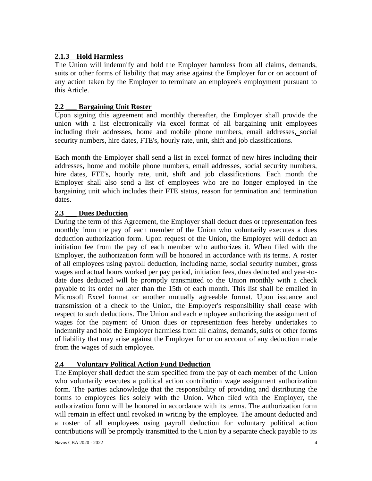# **2.1.3 Hold Harmless**

The Union will indemnify and hold the Employer harmless from all claims, demands, suits or other forms of liability that may arise against the Employer for or on account of any action taken by the Employer to terminate an employee's employment pursuant to this Article.

# **2.2 \_\_\_ Bargaining Unit Roster**

Upon signing this agreement and monthly thereafter, the Employer shall provide the union with a list electronically via excel format of all bargaining unit employees including their addresses, home and mobile phone numbers, email addresses, social security numbers, hire dates, FTE's, hourly rate, unit, shift and job classifications.

Each month the Employer shall send a list in excel format of new hires including their addresses, home and mobile phone numbers, email addresses, social security numbers, hire dates, FTE's, hourly rate, unit, shift and job classifications. Each month the Employer shall also send a list of employees who are no longer employed in the bargaining unit which includes their FTE status, reason for termination and termination dates.

# **2.3 \_\_\_ Dues Deduction**

During the term of this Agreement, the Employer shall deduct dues or representation fees monthly from the pay of each member of the Union who voluntarily executes a dues deduction authorization form. Upon request of the Union, the Employer will deduct an initiation fee from the pay of each member who authorizes it. When filed with the Employer, the authorization form will be honored in accordance with its terms. A roster of all employees using payroll deduction, including name, social security number, gross wages and actual hours worked per pay period, initiation fees, dues deducted and year-todate dues deducted will be promptly transmitted to the Union monthly with a check payable to its order no later than the 15th of each month. This list shall be emailed in Microsoft Excel format or another mutually agreeable format. Upon issuance and transmission of a check to the Union, the Employer's responsibility shall cease with respect to such deductions. The Union and each employee authorizing the assignment of wages for the payment of Union dues or representation fees hereby undertakes to indemnify and hold the Employer harmless from all claims, demands, suits or other forms of liability that may arise against the Employer for or on account of any deduction made from the wages of such employee.

# **2.4 Voluntary Political Action Fund Deduction**

The Employer shall deduct the sum specified from the pay of each member of the Union who voluntarily executes a political action contribution wage assignment authorization form. The parties acknowledge that the responsibility of providing and distributing the forms to employees lies solely with the Union. When filed with the Employer, the authorization form will be honored in accordance with its terms. The authorization form will remain in effect until revoked in writing by the employee. The amount deducted and a roster of all employees using payroll deduction for voluntary political action contributions will be promptly transmitted to the Union by a separate check payable to its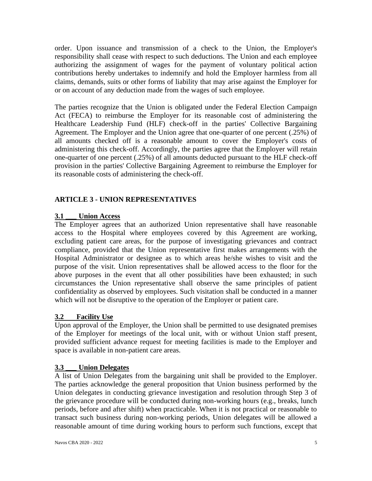order. Upon issuance and transmission of a check to the Union, the Employer's responsibility shall cease with respect to such deductions. The Union and each employee authorizing the assignment of wages for the payment of voluntary political action contributions hereby undertakes to indemnify and hold the Employer harmless from all claims, demands, suits or other forms of liability that may arise against the Employer for or on account of any deduction made from the wages of such employee.

The parties recognize that the Union is obligated under the Federal Election Campaign Act (FECA) to reimburse the Employer for its reasonable cost of administering the Healthcare Leadership Fund (HLF) check-off in the parties' Collective Bargaining Agreement. The Employer and the Union agree that one-quarter of one percent (.25%) of all amounts checked off is a reasonable amount to cover the Employer's costs of administering this check-off. Accordingly, the parties agree that the Employer will retain one-quarter of one percent (.25%) of all amounts deducted pursuant to the HLF check-off provision in the parties' Collective Bargaining Agreement to reimburse the Employer for its reasonable costs of administering the check-off.

# <span id="page-4-0"></span>**ARTICLE 3 - UNION REPRESENTATIVES**

### **3.1 \_\_\_ Union Access**

The Employer agrees that an authorized Union representative shall have reasonable access to the Hospital where employees covered by this Agreement are working, excluding patient care areas, for the purpose of investigating grievances and contract compliance, provided that the Union representative first makes arrangements with the Hospital Administrator or designee as to which areas he/she wishes to visit and the purpose of the visit. Union representatives shall be allowed access to the floor for the above purposes in the event that all other possibilities have been exhausted; in such circumstances the Union representative shall observe the same principles of patient confidentiality as observed by employees. Such visitation shall be conducted in a manner which will not be disruptive to the operation of the Employer or patient care.

# **3.2 Facility Use**

Upon approval of the Employer, the Union shall be permitted to use designated premises of the Employer for meetings of the local unit, with or without Union staff present, provided sufficient advance request for meeting facilities is made to the Employer and space is available in non-patient care areas.

#### **3.3 \_\_\_ Union Delegates**

A list of Union Delegates from the bargaining unit shall be provided to the Employer. The parties acknowledge the general proposition that Union business performed by the Union delegates in conducting grievance investigation and resolution through Step 3 of the grievance procedure will be conducted during non-working hours (e.g., breaks, lunch periods, before and after shift) when practicable. When it is not practical or reasonable to transact such business during non-working periods, Union delegates will be allowed a reasonable amount of time during working hours to perform such functions, except that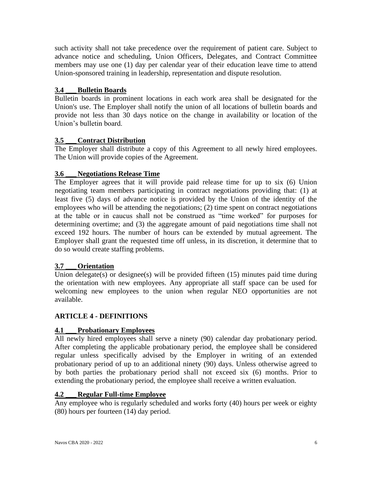such activity shall not take precedence over the requirement of patient care. Subject to advance notice and scheduling, Union Officers, Delegates, and Contract Committee members may use one (1) day per calendar year of their education leave time to attend Union-sponsored training in leadership, representation and dispute resolution.

# **3.4 \_\_\_Bulletin Boards**

Bulletin boards in prominent locations in each work area shall be designated for the Union's use. The Employer shall notify the union of all locations of bulletin boards and provide not less than 30 days notice on the change in availability or location of the Union's bulletin board.

# **3.5 \_\_\_ Contract Distribution**

The Employer shall distribute a copy of this Agreement to all newly hired employees. The Union will provide copies of the Agreement.

# **3.6 \_\_\_ Negotiations Release Time**

The Employer agrees that it will provide paid release time for up to six (6) Union negotiating team members participating in contract negotiations providing that: (1) at least five (5) days of advance notice is provided by the Union of the identity of the employees who will be attending the negotiations; (2) time spent on contract negotiations at the table or in caucus shall not be construed as "time worked" for purposes for determining overtime; and (3) the aggregate amount of paid negotiations time shall not exceed 192 hours. The number of hours can be extended by mutual agreement. The Employer shall grant the requested time off unless, in its discretion, it determine that to do so would create staffing problems.

#### **3.7 \_\_\_Orientation**

Union delegate(s) or designee(s) will be provided fifteen (15) minutes paid time during the orientation with new employees. Any appropriate all staff space can be used for welcoming new employees to the union when regular NEO opportunities are not available.

# <span id="page-5-0"></span>**ARTICLE 4 - DEFINITIONS**

# **4.1 \_\_\_Probationary Employees**

All newly hired employees shall serve a ninety (90) calendar day probationary period. After completing the applicable probationary period, the employee shall be considered regular unless specifically advised by the Employer in writing of an extended probationary period of up to an additional ninety (90) days. Unless otherwise agreed to by both parties the probationary period shall not exceed six (6) months. Prior to extending the probationary period, the employee shall receive a written evaluation.

#### **4.2 \_\_\_ Regular Full-time Employee**

Any employee who is regularly scheduled and works forty (40) hours per week or eighty (80) hours per fourteen (14) day period.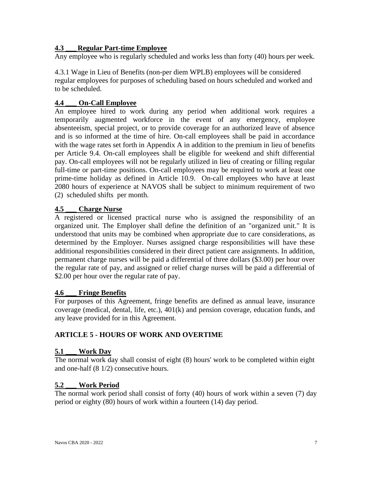# **4.3 \_\_\_ Regular Part-time Employee**

Any employee who is regularly scheduled and works less than forty (40) hours per week.

4.3.1 Wage in Lieu of Benefits (non-per diem WPLB) employees will be considered regular employees for purposes of scheduling based on hours scheduled and worked and to be scheduled.

# **4.4 \_\_\_ On-Call Employee**

An employee hired to work during any period when additional work requires a temporarily augmented workforce in the event of any emergency, employee absenteeism, special project, or to provide coverage for an authorized leave of absence and is so informed at the time of hire. On-call employees shall be paid in accordance with the wage rates set forth in Appendix A in addition to the premium in lieu of benefits per Article 9.4. On-call employees shall be eligible for weekend and shift differential pay. On-call employees will not be regularly utilized in lieu of creating or filling regular full-time or part-time positions. On-call employees may be required to work at least one prime-time holiday as defined in Article 10.9. On-call employees who have at least 2080 hours of experience at NAVOS shall be subject to minimum requirement of two (2) scheduled shifts per month.

#### **4.5 \_\_\_ Charge Nurse**

A registered or licensed practical nurse who is assigned the responsibility of an organized unit. The Employer shall define the definition of an "organized unit." It is understood that units may be combined when appropriate due to care considerations, as determined by the Employer. Nurses assigned charge responsibilities will have these additional responsibilities considered in their direct patient care assignments. In addition, permanent charge nurses will be paid a differential of three dollars (\$3.00) per hour over the regular rate of pay, and assigned or relief charge nurses will be paid a differential of \$2.00 per hour over the regular rate of pay.

#### **4.6 \_\_\_ Fringe Benefits**

For purposes of this Agreement, fringe benefits are defined as annual leave, insurance coverage (medical, dental, life, etc.), 401(k) and pension coverage, education funds, and any leave provided for in this Agreement.

# <span id="page-6-0"></span>**ARTICLE 5 - HOURS OF WORK AND OVERTIME**

#### **5.1 \_\_\_ Work Day**

The normal work day shall consist of eight (8) hours' work to be completed within eight and one-half (8 1/2) consecutive hours.

#### **5.2 \_\_\_ Work Period**

The normal work period shall consist of forty (40) hours of work within a seven (7) day period or eighty (80) hours of work within a fourteen (14) day period.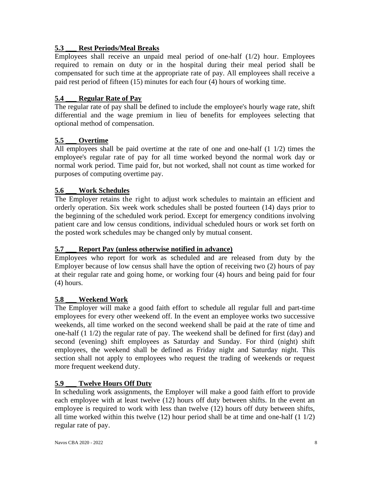# **5.3 \_\_\_ Rest Periods/Meal Breaks**

Employees shall receive an unpaid meal period of one-half (1/2) hour. Employees required to remain on duty or in the hospital during their meal period shall be compensated for such time at the appropriate rate of pay. All employees shall receive a paid rest period of fifteen (15) minutes for each four (4) hours of working time.

# **5.4 \_\_\_ Regular Rate of Pay**

The regular rate of pay shall be defined to include the employee's hourly wage rate, shift differential and the wage premium in lieu of benefits for employees selecting that optional method of compensation.

# **5.5 \_\_\_ Overtime**

All employees shall be paid overtime at the rate of one and one-half (1 1/2) times the employee's regular rate of pay for all time worked beyond the normal work day or normal work period. Time paid for, but not worked, shall not count as time worked for purposes of computing overtime pay.

# **5.6 \_\_\_ Work Schedules**

The Employer retains the right to adjust work schedules to maintain an efficient and orderly operation. Six week work schedules shall be posted fourteen (14) days prior to the beginning of the scheduled work period. Except for emergency conditions involving patient care and low census conditions, individual scheduled hours or work set forth on the posted work schedules may be changed only by mutual consent.

# **5.7 \_\_\_ Report Pay (unless otherwise notified in advance)**

Employees who report for work as scheduled and are released from duty by the Employer because of low census shall have the option of receiving two (2) hours of pay at their regular rate and going home, or working four (4) hours and being paid for four (4) hours.

# **5.8 \_\_\_ Weekend Work**

The Employer will make a good faith effort to schedule all regular full and part-time employees for every other weekend off. In the event an employee works two successive weekends, all time worked on the second weekend shall be paid at the rate of time and one-half (1 1/2) the regular rate of pay. The weekend shall be defined for first (day) and second (evening) shift employees as Saturday and Sunday. For third (night) shift employees, the weekend shall be defined as Friday night and Saturday night. This section shall not apply to employees who request the trading of weekends or request more frequent weekend duty.

# **5.9 \_\_\_ Twelve Hours Off Duty**

In scheduling work assignments, the Employer will make a good faith effort to provide each employee with at least twelve (12) hours off duty between shifts. In the event an employee is required to work with less than twelve (12) hours off duty between shifts, all time worked within this twelve (12) hour period shall be at time and one-half (1 1/2) regular rate of pay.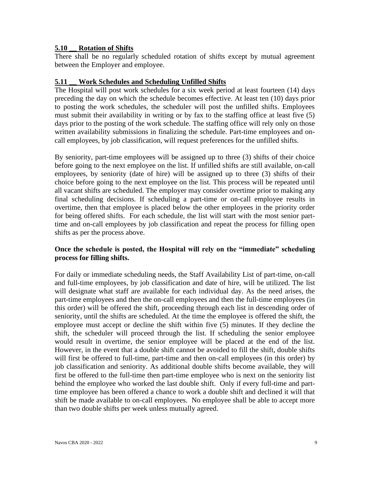#### **5.10 \_\_ Rotation of Shifts**

There shall be no regularly scheduled rotation of shifts except by mutual agreement between the Employer and employee.

#### **5.11 \_\_ Work Schedules and Scheduling Unfilled Shifts**

The Hospital will post work schedules for a six week period at least fourteen (14) days preceding the day on which the schedule becomes effective. At least ten (10) days prior to posting the work schedules, the scheduler will post the unfilled shifts. Employees must submit their availability in writing or by fax to the staffing office at least five (5) days prior to the posting of the work schedule. The staffing office will rely only on those written availability submissions in finalizing the schedule. Part-time employees and oncall employees, by job classification, will request preferences for the unfilled shifts.

By seniority, part-time employees will be assigned up to three (3) shifts of their choice before going to the next employee on the list. If unfilled shifts are still available, on-call employees, by seniority (date of hire) will be assigned up to three (3) shifts of their choice before going to the next employee on the list. This process will be repeated until all vacant shifts are scheduled. The employer may consider overtime prior to making any final scheduling decisions. If scheduling a part-time or on-call employee results in overtime, then that employee is placed below the other employees in the priority order for being offered shifts. For each schedule, the list will start with the most senior parttime and on-call employees by job classification and repeat the process for filling open shifts as per the process above.

#### **Once the schedule is posted, the Hospital will rely on the "immediate" scheduling process for filling shifts.**

For daily or immediate scheduling needs, the Staff Availability List of part-time, on-call and full-time employees, by job classification and date of hire, will be utilized. The list will designate what staff are available for each individual day. As the need arises, the part-time employees and then the on-call employees and then the full-time employees (in this order) will be offered the shift, proceeding through each list in descending order of seniority, until the shifts are scheduled. At the time the employee is offered the shift, the employee must accept or decline the shift within five (5) minutes. If they decline the shift, the scheduler will proceed through the list. If scheduling the senior employee would result in overtime, the senior employee will be placed at the end of the list. However, in the event that a double shift cannot be avoided to fill the shift, double shifts will first be offered to full-time, part-time and then on-call employees (in this order) by job classification and seniority. As additional double shifts become available, they will first be offered to the full-time then part-time employee who is next on the seniority list behind the employee who worked the last double shift. Only if every full-time and parttime employee has been offered a chance to work a double shift and declined it will that shift be made available to on-call employees. No employee shall be able to accept more than two double shifts per week unless mutually agreed.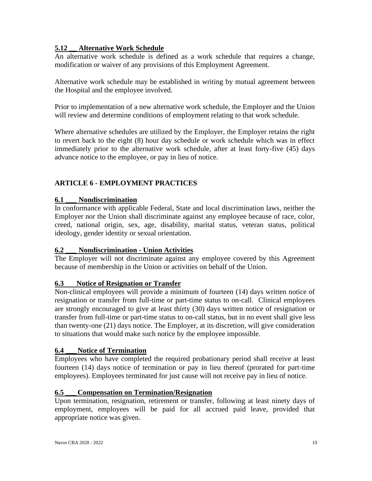# **5.12 \_\_ Alternative Work Schedule**

An alternative work schedule is defined as a work schedule that requires a change, modification or waiver of any provisions of this Employment Agreement.

Alternative work schedule may be established in writing by mutual agreement between the Hospital and the employee involved.

Prior to implementation of a new alternative work schedule, the Employer and the Union will review and determine conditions of employment relating to that work schedule.

Where alternative schedules are utilized by the Employer, the Employer retains the right to revert back to the eight (8) hour day schedule or work schedule which was in effect immediately prior to the alternative work schedule, after at least forty-five (45) days advance notice to the employee, or pay in lieu of notice.

# <span id="page-9-0"></span>**ARTICLE 6 - EMPLOYMENT PRACTICES**

# **6.1 \_\_\_ Nondiscrimination**

In conformance with applicable Federal, State and local discrimination laws, neither the Employer nor the Union shall discriminate against any employee because of race, color, creed, national origin, sex, age, disability, marital status, veteran status, political ideology, gender identity or sexual orientation.

# **6.2 \_\_\_ Nondiscrimination - Union Activities**

The Employer will not discriminate against any employee covered by this Agreement because of membership in the Union or activities on behalf of the Union.

# **6.3 Notice of Resignation or Transfer**

Non-clinical employees will provide a minimum of fourteen (14) days written notice of resignation or transfer from full-time or part-time status to on-call. Clinical employees are strongly encouraged to give at least thirty (30) days written notice of resignation or transfer from full-time or part-time status to on-call status, but in no event shall give less than twenty-one (21) days notice. The Employer, at its discretion, will give consideration to situations that would make such notice by the employee impossible.

# **6.4 \_\_\_ Notice of Termination**

Employees who have completed the required probationary period shall receive at least fourteen (14) days notice of termination or pay in lieu thereof (prorated for part-time employees). Employees terminated for just cause will not receive pay in lieu of notice.

# **6.5 \_\_\_ Compensation on Termination/Resignation**

Upon termination, resignation, retirement or transfer, following at least ninety days of employment, employees will be paid for all accrued paid leave, provided that appropriate notice was given.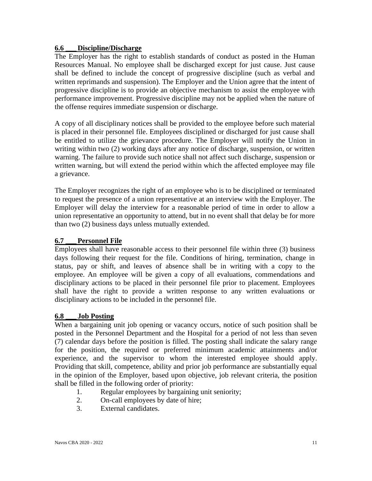### **6.6 \_\_\_ Discipline/Discharge**

The Employer has the right to establish standards of conduct as posted in the Human Resources Manual. No employee shall be discharged except for just cause. Just cause shall be defined to include the concept of progressive discipline (such as verbal and written reprimands and suspension). The Employer and the Union agree that the intent of progressive discipline is to provide an objective mechanism to assist the employee with performance improvement. Progressive discipline may not be applied when the nature of the offense requires immediate suspension or discharge.

A copy of all disciplinary notices shall be provided to the employee before such material is placed in their personnel file. Employees disciplined or discharged for just cause shall be entitled to utilize the grievance procedure. The Employer will notify the Union in writing within two (2) working days after any notice of discharge, suspension, or written warning. The failure to provide such notice shall not affect such discharge, suspension or written warning, but will extend the period within which the affected employee may file a grievance.

The Employer recognizes the right of an employee who is to be disciplined or terminated to request the presence of a union representative at an interview with the Employer. The Employer will delay the interview for a reasonable period of time in order to allow a union representative an opportunity to attend, but in no event shall that delay be for more than two (2) business days unless mutually extended.

#### **6.7 \_\_\_Personnel File**

Employees shall have reasonable access to their personnel file within three (3) business days following their request for the file. Conditions of hiring, termination, change in status, pay or shift, and leaves of absence shall be in writing with a copy to the employee. An employee will be given a copy of all evaluations, commendations and disciplinary actions to be placed in their personnel file prior to placement. Employees shall have the right to provide a written response to any written evaluations or disciplinary actions to be included in the personnel file.

#### **6.8 \_\_\_ Job Posting**

When a bargaining unit job opening or vacancy occurs, notice of such position shall be posted in the Personnel Department and the Hospital for a period of not less than seven (7) calendar days before the position is filled. The posting shall indicate the salary range for the position, the required or preferred minimum academic attainments and/or experience, and the supervisor to whom the interested employee should apply. Providing that skill, competence, ability and prior job performance are substantially equal in the opinion of the Employer, based upon objective, job relevant criteria, the position shall be filled in the following order of priority:

- 1. Regular employees by bargaining unit seniority;
- 2. On-call employees by date of hire;
- 3. External candidates.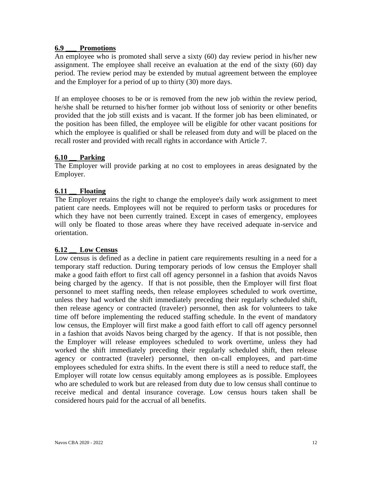#### **6.9 \_\_\_ Promotions**

An employee who is promoted shall serve a sixty (60) day review period in his/her new assignment. The employee shall receive an evaluation at the end of the sixty (60) day period. The review period may be extended by mutual agreement between the employee and the Employer for a period of up to thirty (30) more days.

If an employee chooses to be or is removed from the new job within the review period, he/she shall be returned to his/her former job without loss of seniority or other benefits provided that the job still exists and is vacant. If the former job has been eliminated, or the position has been filled, the employee will be eligible for other vacant positions for which the employee is qualified or shall be released from duty and will be placed on the recall roster and provided with recall rights in accordance with Article 7.

# **6.10 \_\_ Parking**

The Employer will provide parking at no cost to employees in areas designated by the Employer.

# **6.11 \_\_ Floating**

The Employer retains the right to change the employee's daily work assignment to meet patient care needs. Employees will not be required to perform tasks or procedures for which they have not been currently trained. Except in cases of emergency, employees will only be floated to those areas where they have received adequate in-service and orientation.

#### **6.12 \_\_ Low Census**

Low census is defined as a decline in patient care requirements resulting in a need for a temporary staff reduction. During temporary periods of low census the Employer shall make a good faith effort to first call off agency personnel in a fashion that avoids Navos being charged by the agency. If that is not possible, then the Employer will first float personnel to meet staffing needs, then release employees scheduled to work overtime, unless they had worked the shift immediately preceding their regularly scheduled shift, then release agency or contracted (traveler) personnel, then ask for volunteers to take time off before implementing the reduced staffing schedule. In the event of mandatory low census, the Employer will first make a good faith effort to call off agency personnel in a fashion that avoids Navos being charged by the agency. If that is not possible, then the Employer will release employees scheduled to work overtime, unless they had worked the shift immediately preceding their regularly scheduled shift, then release agency or contracted (traveler) personnel, then on-call employees, and part-time employees scheduled for extra shifts. In the event there is still a need to reduce staff, the Employer will rotate low census equitably among employees as is possible. Employees who are scheduled to work but are released from duty due to low census shall continue to receive medical and dental insurance coverage. Low census hours taken shall be considered hours paid for the accrual of all benefits.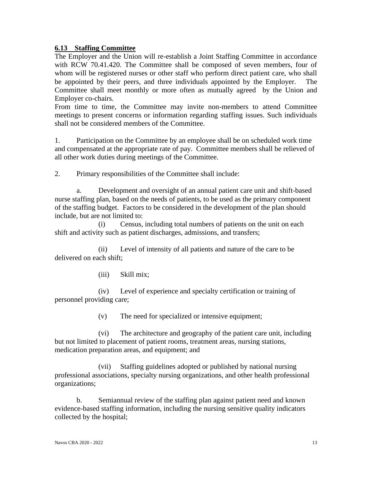#### **6.13 Staffing Committee**

The Employer and the Union will re-establish a Joint Staffing Committee in accordance with RCW 70.41.420. The Committee shall be composed of seven members, four of whom will be registered nurses or other staff who perform direct patient care, who shall be appointed by their peers, and three individuals appointed by the Employer. The Committee shall meet monthly or more often as mutually agreed by the Union and Employer co-chairs.

From time to time, the Committee may invite non-members to attend Committee meetings to present concerns or information regarding staffing issues. Such individuals shall not be considered members of the Committee.

1. Participation on the Committee by an employee shall be on scheduled work time and compensated at the appropriate rate of pay. Committee members shall be relieved of all other work duties during meetings of the Committee.

2. Primary responsibilities of the Committee shall include:

Development and oversight of an annual patient care unit and shift-based nurse staffing plan, based on the needs of patients, to be used as the primary component of the staffing budget. Factors to be considered in the development of the plan should include, but are not limited to:

(i) Census, including total numbers of patients on the unit on each shift and activity such as patient discharges, admissions, and transfers;

(ii) Level of intensity of all patients and nature of the care to be delivered on each shift;

(iii) Skill mix;

(iv) Level of experience and specialty certification or training of personnel providing care;

(v) The need for specialized or intensive equipment;

(vi) The architecture and geography of the patient care unit, including but not limited to placement of patient rooms, treatment areas, nursing stations, medication preparation areas, and equipment; and

(vii) Staffing guidelines adopted or published by national nursing professional associations, specialty nursing organizations, and other health professional organizations;

b. Semiannual review of the staffing plan against patient need and known evidence-based staffing information, including the nursing sensitive quality indicators collected by the hospital;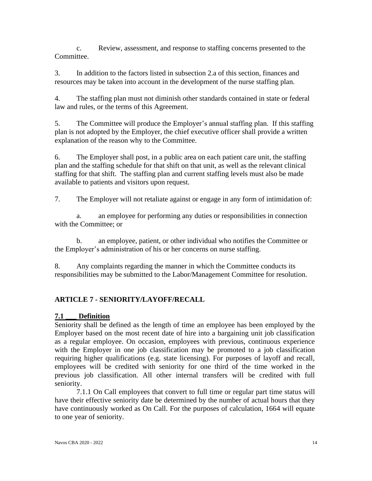c. Review, assessment, and response to staffing concerns presented to the Committee.

3. In addition to the factors listed in subsection 2.a of this section, finances and resources may be taken into account in the development of the nurse staffing plan.

4. The staffing plan must not diminish other standards contained in state or federal law and rules, or the terms of this Agreement.

5. The Committee will produce the Employer's annual staffing plan. If this staffing plan is not adopted by the Employer, the chief executive officer shall provide a written explanation of the reason why to the Committee.

6. The Employer shall post, in a public area on each patient care unit, the staffing plan and the staffing schedule for that shift on that unit, as well as the relevant clinical staffing for that shift. The staffing plan and current staffing levels must also be made available to patients and visitors upon request.

7. The Employer will not retaliate against or engage in any form of intimidation of:

a. an employee for performing any duties or responsibilities in connection with the Committee; or

b. an employee, patient, or other individual who notifies the Committee or the Employer's administration of his or her concerns on nurse staffing.

8. Any complaints regarding the manner in which the Committee conducts its responsibilities may be submitted to the Labor/Management Committee for resolution.

# <span id="page-13-0"></span>**ARTICLE 7 - SENIORITY/LAYOFF/RECALL**

#### **7.1 \_\_\_ Definition**

Seniority shall be defined as the length of time an employee has been employed by the Employer based on the most recent date of hire into a bargaining unit job classification as a regular employee. On occasion, employees with previous, continuous experience with the Employer in one job classification may be promoted to a job classification requiring higher qualifications (e.g. state licensing). For purposes of layoff and recall, employees will be credited with seniority for one third of the time worked in the previous job classification. All other internal transfers will be credited with full seniority.

7.1.1 On Call employees that convert to full time or regular part time status will have their effective seniority date be determined by the number of actual hours that they have continuously worked as On Call. For the purposes of calculation, 1664 will equate to one year of seniority.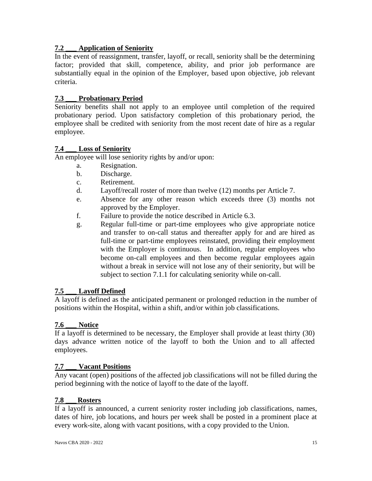# **7.2 \_\_\_ Application of Seniority**

In the event of reassignment, transfer, layoff, or recall, seniority shall be the determining factor; provided that skill, competence, ability, and prior job performance are substantially equal in the opinion of the Employer, based upon objective, job relevant criteria.

# **7.3 \_\_\_ Probationary Period**

Seniority benefits shall not apply to an employee until completion of the required probationary period. Upon satisfactory completion of this probationary period, the employee shall be credited with seniority from the most recent date of hire as a regular employee.

# **7.4 \_\_\_ Loss of Seniority**

An employee will lose seniority rights by and/or upon:

- a. Resignation.
- b. Discharge.
- c. Retirement.
- d. Layoff/recall roster of more than twelve (12) months per Article 7.
- e. Absence for any other reason which exceeds three (3) months not approved by the Employer.
- f. Failure to provide the notice described in Article 6.3.
- g. Regular full-time or part-time employees who give appropriate notice and transfer to on-call status and thereafter apply for and are hired as full-time or part-time employees reinstated, providing their employment with the Employer is continuous. In addition, regular employees who become on-call employees and then become regular employees again without a break in service will not lose any of their seniority, but will be subject to section 7.1.1 for calculating seniority while on-call.

# **7.5 \_\_\_ Layoff Defined**

A layoff is defined as the anticipated permanent or prolonged reduction in the number of positions within the Hospital, within a shift, and/or within job classifications.

#### **7.6 \_\_\_ Notice**

If a layoff is determined to be necessary, the Employer shall provide at least thirty (30) days advance written notice of the layoff to both the Union and to all affected employees.

# **7.7 \_\_\_ Vacant Positions**

Any vacant (open) positions of the affected job classifications will not be filled during the period beginning with the notice of layoff to the date of the layoff.

#### **7.8 \_\_\_ Rosters**

If a layoff is announced, a current seniority roster including job classifications, names, dates of hire, job locations, and hours per week shall be posted in a prominent place at every work-site, along with vacant positions, with a copy provided to the Union.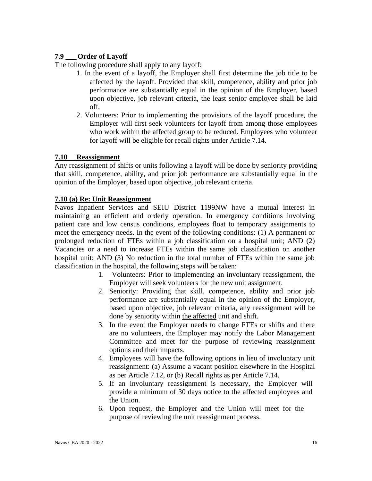# **7.9 \_\_\_Order of Layoff**

The following procedure shall apply to any layoff:

- 1. In the event of a layoff, the Employer shall first determine the job title to be affected by the layoff. Provided that skill, competence, ability and prior job performance are substantially equal in the opinion of the Employer, based upon objective, job relevant criteria, the least senior employee shall be laid off.
- 2. Volunteers: Prior to implementing the provisions of the layoff procedure, the Employer will first seek volunteers for layoff from among those employees who work within the affected group to be reduced. Employees who volunteer for layoff will be eligible for recall rights under Article 7.14.

### **7.10 Reassignment**

Any reassignment of shifts or units following a layoff will be done by seniority providing that skill, competence, ability, and prior job performance are substantially equal in the opinion of the Employer, based upon objective, job relevant criteria.

#### **7.10 (a) Re: Unit Reassignment**

Navos Inpatient Services and SEIU District 1199NW have a mutual interest in maintaining an efficient and orderly operation. In emergency conditions involving patient care and low census conditions, employees float to temporary assignments to meet the emergency needs. In the event of the following conditions: (1) A permanent or prolonged reduction of FTEs within a job classification on a hospital unit; AND (2) Vacancies or a need to increase FTEs within the same job classification on another hospital unit; AND (3) No reduction in the total number of FTEs within the same job classification in the hospital, the following steps will be taken:

- 1. Volunteers: Prior to implementing an involuntary reassignment, the Employer will seek volunteers for the new unit assignment.
- 2. Seniority: Providing that skill, competence, ability and prior job performance are substantially equal in the opinion of the Employer, based upon objective, job relevant criteria, any reassignment will be done by seniority within the affected unit and shift.
- 3. In the event the Employer needs to change FTEs or shifts and there are no volunteers, the Employer may notify the Labor Management Committee and meet for the purpose of reviewing reassignment options and their impacts.
- 4. Employees will have the following options in lieu of involuntary unit reassignment: (a) Assume a vacant position elsewhere in the Hospital as per Article 7.12, or (b) Recall rights as per Article 7.14.
- 5. If an involuntary reassignment is necessary, the Employer will provide a minimum of 30 days notice to the affected employees and the Union.
- 6. Upon request, the Employer and the Union will meet for the purpose of reviewing the unit reassignment process.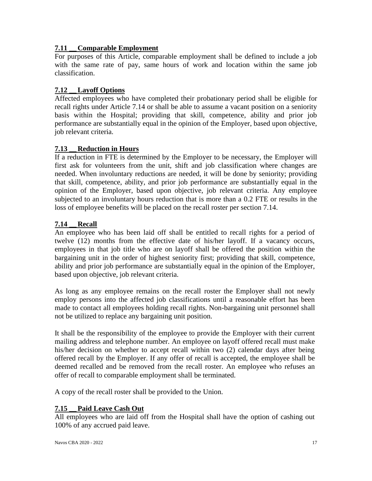# **7.11 \_\_ Comparable Employment**

For purposes of this Article, comparable employment shall be defined to include a job with the same rate of pay, same hours of work and location within the same job classification.

# **7.12 \_\_Layoff Options**

Affected employees who have completed their probationary period shall be eligible for recall rights under Article 7.14 or shall be able to assume a vacant position on a seniority basis within the Hospital; providing that skill, competence, ability and prior job performance are substantially equal in the opinion of the Employer, based upon objective, job relevant criteria.

### **7.13 \_\_ Reduction in Hours**

If a reduction in FTE is determined by the Employer to be necessary, the Employer will first ask for volunteers from the unit, shift and job classification where changes are needed. When involuntary reductions are needed, it will be done by seniority; providing that skill, competence, ability, and prior job performance are substantially equal in the opinion of the Employer, based upon objective, job relevant criteria. Any employee subjected to an involuntary hours reduction that is more than a 0.2 FTE or results in the loss of employee benefits will be placed on the recall roster per section 7.14.

#### **7.14 \_\_ Recall**

An employee who has been laid off shall be entitled to recall rights for a period of twelve (12) months from the effective date of his/her layoff. If a vacancy occurs, employees in that job title who are on layoff shall be offered the position within the bargaining unit in the order of highest seniority first; providing that skill, competence, ability and prior job performance are substantially equal in the opinion of the Employer, based upon objective, job relevant criteria.

As long as any employee remains on the recall roster the Employer shall not newly employ persons into the affected job classifications until a reasonable effort has been made to contact all employees holding recall rights. Non-bargaining unit personnel shall not be utilized to replace any bargaining unit position.

It shall be the responsibility of the employee to provide the Employer with their current mailing address and telephone number. An employee on layoff offered recall must make his/her decision on whether to accept recall within two (2) calendar days after being offered recall by the Employer. If any offer of recall is accepted, the employee shall be deemed recalled and be removed from the recall roster. An employee who refuses an offer of recall to comparable employment shall be terminated.

A copy of the recall roster shall be provided to the Union.

#### **7.15 \_\_Paid Leave Cash Out**

All employees who are laid off from the Hospital shall have the option of cashing out 100% of any accrued paid leave.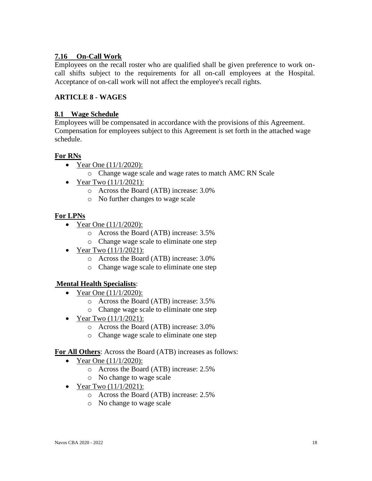# **7.16 On-Call Work**

Employees on the recall roster who are qualified shall be given preference to work oncall shifts subject to the requirements for all on-call employees at the Hospital. Acceptance of on-call work will not affect the employee's recall rights.

# <span id="page-17-0"></span>**ARTICLE 8 - WAGES**

#### **8.1 Wage Schedule**

Employees will be compensated in accordance with the provisions of this Agreement. Compensation for employees subject to this Agreement is set forth in the attached wage schedule.

### **For RNs**

- Year One  $(11/1/2020)$ :
	- o Change wage scale and wage rates to match AMC RN Scale
- Year Two  $(11/1/2021)$ :
	- o Across the Board (ATB) increase: 3.0%
	- o No further changes to wage scale

### **For LPNs**

- Year One  $(11/1/2020)$ :
	- o Across the Board (ATB) increase: 3.5%
	- o Change wage scale to eliminate one step
- Year Two  $(11/1/2021)$ :
	- o Across the Board (ATB) increase: 3.0%
	- o Change wage scale to eliminate one step

#### **Mental Health Specialists**:

- Year One  $(11/1/2020)$ :
	- o Across the Board (ATB) increase: 3.5%
	- o Change wage scale to eliminate one step
- Year Two  $(11/1/2021)$ :
	- o Across the Board (ATB) increase: 3.0%
	- o Change wage scale to eliminate one step

#### **For All Others**: Across the Board (ATB) increases as follows:

- Year One  $(11/1/2020)$ :
	- o Across the Board (ATB) increase: 2.5%
	- o No change to wage scale
- Year Two  $(11/1/2021)$ :
	- o Across the Board (ATB) increase: 2.5%
	- o No change to wage scale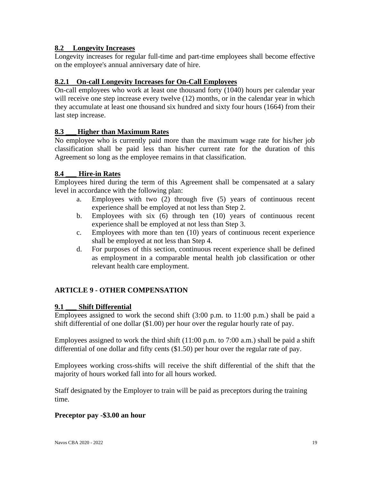# **8.2 Longevity Increases**

Longevity increases for regular full-time and part-time employees shall become effective on the employee's annual anniversary date of hire.

# **8.2.1 On-call Longevity Increases for On-Call Employees**

On-call employees who work at least one thousand forty (1040) hours per calendar year will receive one step increase every twelve (12) months, or in the calendar year in which they accumulate at least one thousand six hundred and sixty four hours (1664) from their last step increase.

### **8.3 \_\_\_Higher than Maximum Rates**

No employee who is currently paid more than the maximum wage rate for his/her job classification shall be paid less than his/her current rate for the duration of this Agreement so long as the employee remains in that classification.

### **8.4 \_\_\_ Hire-in Rates**

Employees hired during the term of this Agreement shall be compensated at a salary level in accordance with the following plan:

- a. Employees with two (2) through five (5) years of continuous recent experience shall be employed at not less than Step 2.
- b. Employees with six (6) through ten (10) years of continuous recent experience shall be employed at not less than Step 3.
- c. Employees with more than ten (10) years of continuous recent experience shall be employed at not less than Step 4.
- <span id="page-18-0"></span>d. For purposes of this section, continuous recent experience shall be defined as employment in a comparable mental health job classification or other relevant health care employment.

# **ARTICLE 9 - OTHER COMPENSATION**

#### **9.1 \_\_\_ Shift Differential**

Employees assigned to work the second shift (3:00 p.m. to 11:00 p.m.) shall be paid a shift differential of one dollar (\$1.00) per hour over the regular hourly rate of pay.

Employees assigned to work the third shift (11:00 p.m. to 7:00 a.m.) shall be paid a shift differential of one dollar and fifty cents (\$1.50) per hour over the regular rate of pay.

Employees working cross-shifts will receive the shift differential of the shift that the majority of hours worked fall into for all hours worked.

Staff designated by the Employer to train will be paid as preceptors during the training time.

#### **Preceptor pay -\$3.00 an hour**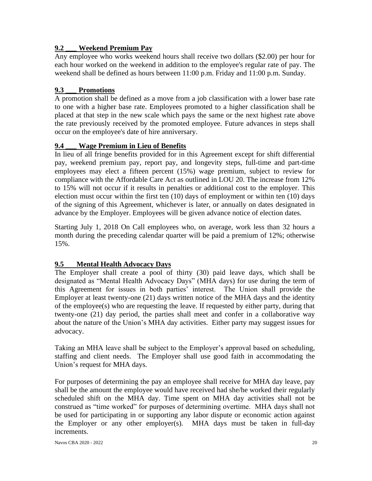# **9.2 \_\_\_ Weekend Premium Pay**

Any employee who works weekend hours shall receive two dollars (\$2.00) per hour for each hour worked on the weekend in addition to the employee's regular rate of pay. The weekend shall be defined as hours between 11:00 p.m. Friday and 11:00 p.m. Sunday.

# **9.3 \_\_\_ Promotions**

A promotion shall be defined as a move from a job classification with a lower base rate to one with a higher base rate. Employees promoted to a higher classification shall be placed at that step in the new scale which pays the same or the next highest rate above the rate previously received by the promoted employee. Future advances in steps shall occur on the employee's date of hire anniversary.

# **9.4 \_\_\_ Wage Premium in Lieu of Benefits**

In lieu of all fringe benefits provided for in this Agreement except for shift differential pay, weekend premium pay, report pay, and longevity steps, full-time and part-time employees may elect a fifteen percent (15%) wage premium, subject to review for compliance with the Affordable Care Act as outlined in LOU 20. The increase from 12% to 15% will not occur if it results in penalties or additional cost to the employer. This election must occur within the first ten (10) days of employment or within ten (10) days of the signing of this Agreement, whichever is later, or annually on dates designated in advance by the Employer. Employees will be given advance notice of election dates.

Starting July 1, 2018 On Call employees who, on average, work less than 32 hours a month during the preceding calendar quarter will be paid a premium of 12%; otherwise 15%.

# **9.5 Mental Health Advocacy Days**

The Employer shall create a pool of thirty (30) paid leave days, which shall be designated as "Mental Health Advocacy Days" (MHA days) for use during the term of this Agreement for issues in both parties' interest. The Union shall provide the Employer at least twenty-one (21) days written notice of the MHA days and the identity of the employee(s) who are requesting the leave. If requested by either party, during that twenty-one (21) day period, the parties shall meet and confer in a collaborative way about the nature of the Union's MHA day activities. Either party may suggest issues for advocacy.

Taking an MHA leave shall be subject to the Employer's approval based on scheduling, staffing and client needs. The Employer shall use good faith in accommodating the Union's request for MHA days.

For purposes of determining the pay an employee shall receive for MHA day leave, pay shall be the amount the employee would have received had she/he worked their regularly scheduled shift on the MHA day. Time spent on MHA day activities shall not be construed as "time worked" for purposes of determining overtime. MHA days shall not be used for participating in or supporting any labor dispute or economic action against the Employer or any other employer(s). MHA days must be taken in full-day increments.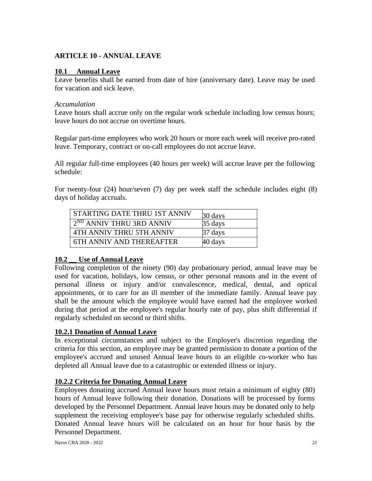# <span id="page-20-0"></span>**ARTICLE 10 - ANNUAL LEAVE**

### **10.1 Annual Leave**

Leave benefits shall be earned from date of hire (anniversary date). Leave may be used for vacation and sick leave.

### *Accumulation*

Leave hours shall accrue only on the regular work schedule including low census hours; leave hours do not accrue on overtime hours.

Regular part-time employees who work 20 hours or more each week will receive pro-rated leave. Temporary, contract or on-call employees do not accrue leave.

All regular full-time employees (40 hours per week) will accrue leave per the following schedule:

For twenty-four (24) hour/seven (7) day per week staff the schedule includes eight (8) days of holiday accruals.

| STARTING DATE THRU 1ST ANNIV    | 30 days           |
|---------------------------------|-------------------|
| $2^{ND}$ ANNIV THRU 3RD ANNIV   | 35 days           |
| 4TH ANNIV THRU 5TH ANNIV        | 37 days           |
| <b>6TH ANNIV AND THEREAFTER</b> | $40 \text{ days}$ |

# **10.2 \_\_ Use of Annual Leave**

Following completion of the ninety (90) day probationary period, annual leave may be used for vacation, holidays, low census, or other personal reasons and in the event of personal illness or injury and/or convalescence, medical, dental, and optical appointments, or to care for an ill member of the immediate family. Annual leave pay shall be the amount which the employee would have earned had the employee worked during that period at the employee's regular hourly rate of pay, plus shift differential if regularly scheduled on second or third shifts.

# **10.2.1 Donation of Annual Leave**

In exceptional circumstances and subject to the Employer's discretion regarding the criteria for this section, an employee may be granted permission to donate a portion of the employee's accrued and unused Annual leave hours to an eligible co-worker who has depleted all Annual leave due to a catastrophic or extended illness or injury.

# **10.2.2 Criteria for Donating Annual Leave**

Employees donating accrued Annual leave hours must retain a minimum of eighty (80) hours of Annual leave following their donation. Donations will be processed by forms developed by the Personnel Department. Annual leave hours may be donated only to help supplement the receiving employee's base pay for otherwise regularly scheduled shifts. Donated Annual leave hours will be calculated on an hour for hour basis by the Personnel Department.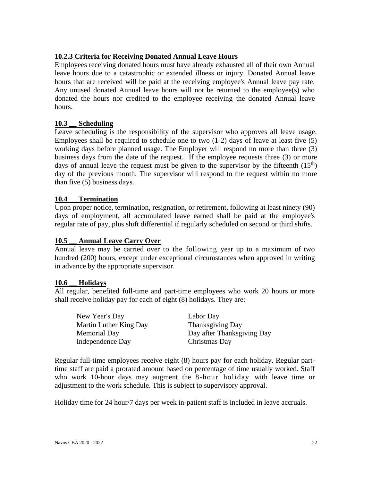# **10.2.3 Criteria for Receiving Donated Annual Leave Hours**

Employees receiving donated hours must have already exhausted all of their own Annual leave hours due to a catastrophic or extended illness or injury. Donated Annual leave hours that are received will be paid at the receiving employee's Annual leave pay rate. Any unused donated Annual leave hours will not be returned to the employee(s) who donated the hours nor credited to the employee receiving the donated Annual leave hours.

### **10.3 \_\_ Scheduling**

Leave scheduling is the responsibility of the supervisor who approves all leave usage. Employees shall be required to schedule one to two  $(1-2)$  days of leave at least five  $(5)$ working days before planned usage. The Employer will respond no more than three (3) business days from the date of the request. If the employee requests three (3) or more days of annual leave the request must be given to the supervisor by the fifteenth  $(15<sup>th</sup>)$ day of the previous month. The supervisor will respond to the request within no more than five (5) business days.

#### **10.4 \_\_ Termination**

Upon proper notice, termination, resignation, or retirement, following at least ninety (90) days of employment, all accumulated leave earned shall be paid at the employee's regular rate of pay, plus shift differential if regularly scheduled on second or third shifts.

#### **10.5 \_\_ Annual Leave Carry Over**

Annual leave may be carried over to the following year up to a maximum of two hundred (200) hours, except under exceptional circumstances when approved in writing in advance by the appropriate supervisor.

#### **10.6 \_\_ Holidays**

All regular, benefited full-time and part-time employees who work 20 hours or more shall receive holiday pay for each of eight (8) holidays. They are:

New Year's Day Labor Day Martin Luther King Day Thanksgiving Day Independence Day Christmas Day

Memorial Day **Day after Thanksgiving Day** 

Regular full-time employees receive eight (8) hours pay for each holiday. Regular parttime staff are paid a prorated amount based on percentage of time usually worked. Staff who work 10-hour days may augment the 8-hour holiday with leave time or adjustment to the work schedule. This is subject to supervisory approval.

Holiday time for 24 hour/7 days per week in-patient staff is included in leave accruals.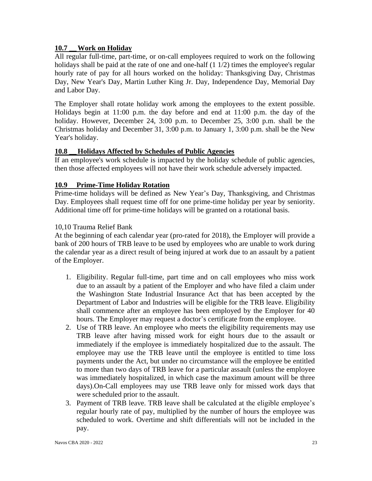# **10.7 \_\_Work on Holiday**

All regular full-time, part-time, or on-call employees required to work on the following holidays shall be paid at the rate of one and one-half  $(1 1/2)$  times the employee's regular hourly rate of pay for all hours worked on the holiday: Thanksgiving Day, Christmas Day, New Year's Day, Martin Luther King Jr. Day, Independence Day, Memorial Day and Labor Day.

The Employer shall rotate holiday work among the employees to the extent possible. Holidays begin at 11:00 p.m. the day before and end at 11:00 p.m. the day of the holiday. However, December 24, 3:00 p.m. to December 25, 3:00 p.m. shall be the Christmas holiday and December 31, 3:00 p.m. to January 1, 3:00 p.m. shall be the New Year's holiday.

### **10.8 \_\_Holidays Affected by Schedules of Public Agencies**

If an employee's work schedule is impacted by the holiday schedule of public agencies, then those affected employees will not have their work schedule adversely impacted.

### **10.9 Prime-Time Holiday Rotation**

Prime-time holidays will be defined as New Year's Day, Thanksgiving, and Christmas Day. Employees shall request time off for one prime-time holiday per year by seniority. Additional time off for prime-time holidays will be granted on a rotational basis.

### 10,10 Trauma Relief Bank

At the beginning of each calendar year (pro-rated for 2018), the Employer will provide a bank of 200 hours of TRB leave to be used by employees who are unable to work during the calendar year as a direct result of being injured at work due to an assault by a patient of the Employer.

- 1. Eligibility. Regular full-time, part time and on call employees who miss work due to an assault by a patient of the Employer and who have filed a claim under the Washington State Industrial Insurance Act that has been accepted by the Department of Labor and Industries will be eligible for the TRB leave. Eligibility shall commence after an employee has been employed by the Employer for 40 hours. The Employer may request a doctor's certificate from the employee.
- 2. Use of TRB leave. An employee who meets the eligibility requirements may use TRB leave after having missed work for eight hours due to the assault or immediately if the employee is immediately hospitalized due to the assault. The employee may use the TRB leave until the employee is entitled to time loss payments under the Act, but under no circumstance will the employee be entitled to more than two days of TRB leave for a particular assault (unless the employee was immediately hospitalized, in which case the maximum amount will be three days).On-Call employees may use TRB leave only for missed work days that were scheduled prior to the assault.
- 3. Payment of TRB leave. TRB leave shall be calculated at the eligible employee's regular hourly rate of pay, multiplied by the number of hours the employee was scheduled to work. Overtime and shift differentials will not be included in the pay.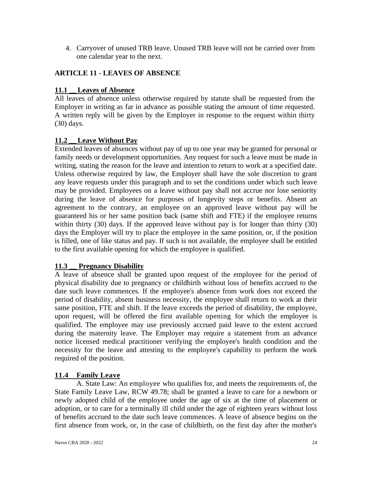<span id="page-23-0"></span>4. Carryover of unused TRB leave. Unused TRB leave will not be carried over from one calendar year to the next.

# **ARTICLE 11 - LEAVES OF ABSENCE**

# **11.1 Leaves of Absence**

All leaves of absence unless otherwise required by statute shall be requested from the Employer in writing as far in advance as possible stating the amount of time requested. A written reply will be given by the Employer in response to the request within thirty (30) days.

# **11.2 \_\_Leave Without Pay**

Extended leaves of absences without pay of up to one year may be granted for personal or family needs or development opportunities. Any request for such a leave must be made in writing, stating the reason for the leave and intention to return to work at a specified date. Unless otherwise required by law, the Employer shall have the sole discretion to grant any leave requests under this paragraph and to set the conditions under which such leave may be provided. Employees on a leave without pay shall not accrue nor lose seniority during the leave of absence for purposes of longevity steps or benefits. Absent an agreement to the contrary, an employee on an approved leave without pay will be guaranteed his or her same position back (same shift and FTE) if the employee returns within thirty (30) days. If the approved leave without pay is for longer than thirty (30) days the Employer will try to place the employee in the same position, or, if the position is filled, one of like status and pay. If such is not available, the employee shall be entitled to the first available opening for which the employee is qualified.

# **11.3 \_\_ Pregnancy Disability**

A leave of absence shall be granted upon request of the employee for the period of physical disability due to pregnancy or childbirth without loss of benefits accrued to the date such leave commences. If the employee's absence from work does not exceed the period of disability, absent business necessity, the employee shall return to work at their same position, FTE and shift. If the leave exceeds the period of disability, the employee, upon request, will be offered the first available opening for which the employee is qualified. The employee may use previously accrued paid leave to the extent accrued during the maternity leave. The Employer may require a statement from an advance notice licensed medical practitioner verifying the employee's health condition and the necessity for the leave and attesting to the employee's capability to perform the work required of the position.

# **11.4 Family Leave**

A. State Law: An employee who qualifies for, and meets the requirements of, the State Family Leave Law, RCW 49.78; shall be granted a leave to care for a newborn or newly adopted child of the employee under the age of six at the time of placement or adoption, or to care for a terminally ill child under the age of eighteen years without loss of benefits accrued to the date such leave commences. A leave of absence begins on the first absence from work, or, in the case of childbirth, on the first day after the mother's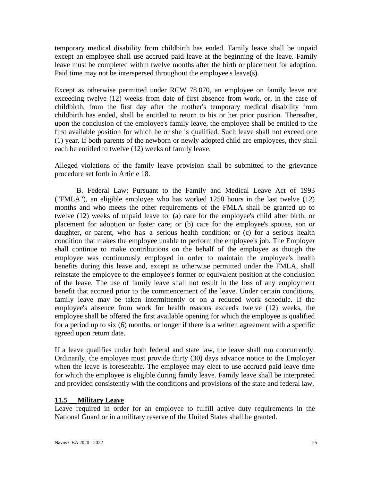temporary medical disability from childbirth has ended. Family leave shall be unpaid except an employee shall use accrued paid leave at the beginning of the leave. Family leave must be completed within twelve months after the birth or placement for adoption. Paid time may not be interspersed throughout the employee's leave(s).

Except as otherwise permitted under RCW 78.070, an employee on family leave not exceeding twelve (12) weeks from date of first absence from work, or, in the case of childbirth, from the first day after the mother's temporary medical disability from childbirth has ended, shall be entitled to return to his or her prior position. Thereafter, upon the conclusion of the employee's family leave, the employee shall be entitled to the first available position for which he or she is qualified. Such leave shall not exceed one (1) year. If both parents of the newborn or newly adopted child are employees, they shall each be entitled to twelve (12) weeks of family leave.

Alleged violations of the family leave provision shall be submitted to the grievance procedure set forth in Article 18.

B. Federal Law: Pursuant to the Family and Medical Leave Act of 1993 ("FMLA"), an eligible employee who has worked 1250 hours in the last twelve (12) months and who meets the other requirements of the FMLA shall be granted up to twelve (12) weeks of unpaid leave to: (a) care for the employee's child after birth, or placement for adoption or foster care; or (b) care for the employee's spouse, son or daughter, or parent, who has a serious health condition; or (c) for a serious health condition that makes the employee unable to perform the employee's job. The Employer shall continue to make contributions on the behalf of the employee as though the employee was continuously employed in order to maintain the employee's health benefits during this leave and, except as otherwise permitted under the FMLA, shall reinstate the employee to the employee's former or equivalent position at the conclusion of the leave. The use of family leave shall not result in the loss of any employment benefit that accrued prior to the commencement of the leave. Under certain conditions, family leave may be taken intermittently or on a reduced work schedule. If the employee's absence from work for health reasons exceeds twelve (12) weeks, the employee shall be offered the first available opening for which the employee is qualified for a period up to six (6) months, or longer if there is a written agreement with a specific agreed upon return date.

If a leave qualifies under both federal and state law, the leave shall run concurrently. Ordinarily, the employee must provide thirty (30) days advance notice to the Employer when the leave is foreseeable. The employee may elect to use accrued paid leave time for which the employee is eligible during family leave. Family leave shall be interpreted and provided consistently with the conditions and provisions of the state and federal law.

#### **11.5 \_\_Military Leave**

Leave required in order for an employee to fulfill active duty requirements in the National Guard or in a military reserve of the United States shall be granted.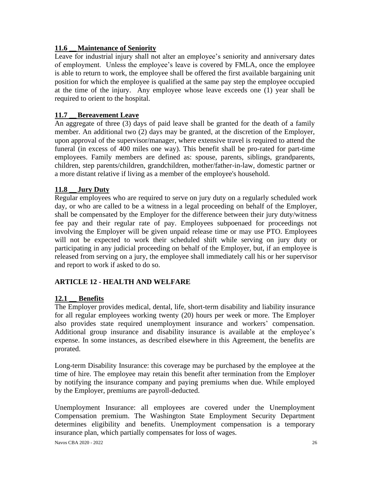# **11.6 \_\_Maintenance of Seniority**

Leave for industrial injury shall not alter an employee's seniority and anniversary dates of employment. Unless the employee's leave is covered by FMLA, once the employee is able to return to work, the employee shall be offered the first available bargaining unit position for which the employee is qualified at the same pay step the employee occupied at the time of the injury. Any employee whose leave exceeds one (1) year shall be required to orient to the hospital.

# **11.7 \_\_Bereavement Leave**

An aggregate of three (3) days of paid leave shall be granted for the death of a family member. An additional two (2) days may be granted, at the discretion of the Employer, upon approval of the supervisor/manager, where extensive travel is required to attend the funeral (in excess of 400 miles one way). This benefit shall be pro-rated for part-time employees. Family members are defined as: spouse, parents, siblings, grandparents, children, step parents/children, grandchildren, mother/father-in-law, domestic partner or a more distant relative if living as a member of the employee's household.

# **11.8 \_\_ Jury Duty**

Regular employees who are required to serve on jury duty on a regularly scheduled work day, or who are called to be a witness in a legal proceeding on behalf of the Employer, shall be compensated by the Employer for the difference between their jury duty/witness fee pay and their regular rate of pay. Employees subpoenaed for proceedings not involving the Employer will be given unpaid release time or may use PTO. Employees will not be expected to work their scheduled shift while serving on jury duty or participating in any judicial proceeding on behalf of the Employer, but, if an employee is released from serving on a jury, the employee shall immediately call his or her supervisor and report to work if asked to do so.

# <span id="page-25-0"></span>**ARTICLE 12 - HEALTH AND WELFARE**

# **12.1 \_\_ Benefits**

The Employer provides medical, dental, life, short-term disability and liability insurance for all regular employees working twenty (20) hours per week or more. The Employer also provides state required unemployment insurance and workers' compensation. Additional group insurance and disability insurance is available at the employee's expense. In some instances, as described elsewhere in this Agreement, the benefits are prorated.

Long-term Disability Insurance: this coverage may be purchased by the employee at the time of hire. The employee may retain this benefit after termination from the Employer by notifying the insurance company and paying premiums when due. While employed by the Employer, premiums are payroll-deducted.

Unemployment Insurance: all employees are covered under the Unemployment Compensation premium. The Washington State Employment Security Department determines eligibility and benefits. Unemployment compensation is a temporary insurance plan, which partially compensates for loss of wages.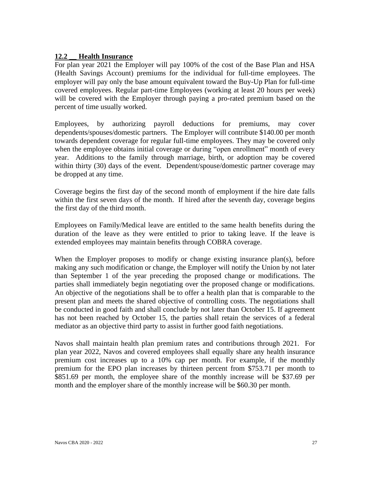### **12.2 \_\_ Health Insurance**

For plan year 2021 the Employer will pay 100% of the cost of the Base Plan and HSA (Health Savings Account) premiums for the individual for full-time employees. The employer will pay only the base amount equivalent toward the Buy-Up Plan for full-time covered employees. Regular part-time Employees (working at least 20 hours per week) will be covered with the Employer through paying a pro-rated premium based on the percent of time usually worked.

Employees, by authorizing payroll deductions for premiums, may cover dependents/spouses/domestic partners. The Employer will contribute \$140.00 per month towards dependent coverage for regular full-time employees. They may be covered only when the employee obtains initial coverage or during "open enrollment" month of every year. Additions to the family through marriage, birth, or adoption may be covered within thirty (30) days of the event. Dependent/spouse/domestic partner coverage may be dropped at any time.

Coverage begins the first day of the second month of employment if the hire date falls within the first seven days of the month. If hired after the seventh day, coverage begins the first day of the third month.

Employees on Family/Medical leave are entitled to the same health benefits during the duration of the leave as they were entitled to prior to taking leave. If the leave is extended employees may maintain benefits through COBRA coverage.

When the Employer proposes to modify or change existing insurance plan(s), before making any such modification or change, the Employer will notify the Union by not later than September 1 of the year preceding the proposed change or modifications. The parties shall immediately begin negotiating over the proposed change or modifications. An objective of the negotiations shall be to offer a health plan that is comparable to the present plan and meets the shared objective of controlling costs. The negotiations shall be conducted in good faith and shall conclude by not later than October 15. If agreement has not been reached by October 15, the parties shall retain the services of a federal mediator as an objective third party to assist in further good faith negotiations.

Navos shall maintain health plan premium rates and contributions through 2021. For plan year 2022, Navos and covered employees shall equally share any health insurance premium cost increases up to a 10% cap per month. For example, if the monthly premium for the EPO plan increases by thirteen percent from \$753.71 per month to \$851.69 per month, the employee share of the monthly increase will be \$37.69 per month and the employer share of the monthly increase will be \$60.30 per month.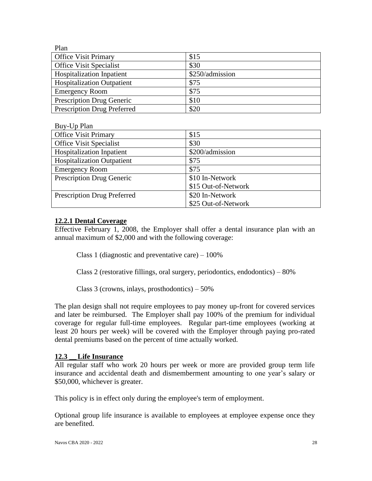| Plan                               |                 |
|------------------------------------|-----------------|
| <b>Office Visit Primary</b>        | \$15            |
| <b>Office Visit Specialist</b>     | \$30            |
| <b>Hospitalization Inpatient</b>   | \$250/admission |
| <b>Hospitalization Outpatient</b>  | \$75            |
| <b>Emergency Room</b>              | \$75            |
| <b>Prescription Drug Generic</b>   | \$10            |
| <b>Prescription Drug Preferred</b> | \$20            |

Buy-Up Plan

| <b>Office Visit Primary</b>        | \$15                |
|------------------------------------|---------------------|
| <b>Office Visit Specialist</b>     | \$30                |
| <b>Hospitalization Inpatient</b>   | \$200/admission     |
| <b>Hospitalization Outpatient</b>  | \$75                |
| <b>Emergency Room</b>              | \$75                |
| <b>Prescription Drug Generic</b>   | \$10 In-Network     |
|                                    | \$15 Out-of-Network |
| <b>Prescription Drug Preferred</b> | \$20 In-Network     |
|                                    | \$25 Out-of-Network |

### **12.2.1 Dental Coverage**

Effective February 1, 2008, the Employer shall offer a dental insurance plan with an annual maximum of \$2,000 and with the following coverage:

Class 1 (diagnostic and preventative care) – 100%

Class 2 (restorative fillings, oral surgery, periodontics, endodontics) – 80%

Class 3 (crowns, inlays, prosthodontics) – 50%

The plan design shall not require employees to pay money up-front for covered services and later be reimbursed. The Employer shall pay 100% of the premium for individual coverage for regular full-time employees. Regular part-time employees (working at least 20 hours per week) will be covered with the Employer through paying pro-rated dental premiums based on the percent of time actually worked.

#### **12.3 \_\_Life Insurance**

All regular staff who work 20 hours per week or more are provided group term life insurance and accidental death and dismemberment amounting to one year's salary or \$50,000, whichever is greater.

This policy is in effect only during the employee's term of employment.

Optional group life insurance is available to employees at employee expense once they are benefited.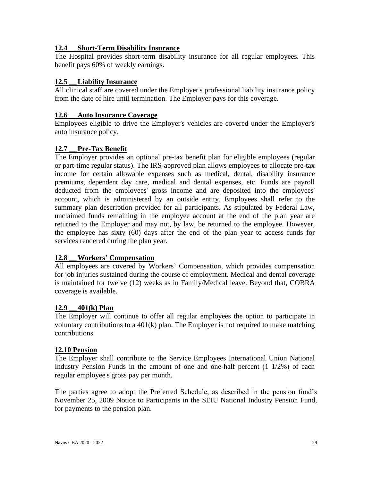# **12.4 \_\_ Short-Term Disability Insurance**

The Hospital provides short-term disability insurance for all regular employees. This benefit pays 60% of weekly earnings.

### **12.5 \_\_Liability Insurance**

All clinical staff are covered under the Employer's professional liability insurance policy from the date of hire until termination. The Employer pays for this coverage.

#### **12.6 \_\_ Auto Insurance Coverage**

Employees eligible to drive the Employer's vehicles are covered under the Employer's auto insurance policy.

# **12.7 \_\_Pre-Tax Benefit**

The Employer provides an optional pre-tax benefit plan for eligible employees (regular or part-time regular status). The IRS-approved plan allows employees to allocate pre-tax income for certain allowable expenses such as medical, dental, disability insurance premiums, dependent day care, medical and dental expenses, etc. Funds are payroll deducted from the employees' gross income and are deposited into the employees' account, which is administered by an outside entity. Employees shall refer to the summary plan description provided for all participants. As stipulated by Federal Law, unclaimed funds remaining in the employee account at the end of the plan year are returned to the Employer and may not, by law, be returned to the employee. However, the employee has sixty (60) days after the end of the plan year to access funds for services rendered during the plan year.

#### **12.8 \_\_Workers' Compensation**

All employees are covered by Workers' Compensation, which provides compensation for job injuries sustained during the course of employment. Medical and dental coverage is maintained for twelve (12) weeks as in Family/Medical leave. Beyond that, COBRA coverage is available.

#### **12.9 \_\_ 401(k) Plan**

The Employer will continue to offer all regular employees the option to participate in voluntary contributions to a 401(k) plan. The Employer is not required to make matching contributions.

#### **12.10 Pension**

The Employer shall contribute to the Service Employees International Union National Industry Pension Funds in the amount of one and one-half percent (1 1/2%) of each regular employee's gross pay per month.

The parties agree to adopt the Preferred Schedule, as described in the pension fund's November 25, 2009 Notice to Participants in the SEIU National Industry Pension Fund, for payments to the pension plan.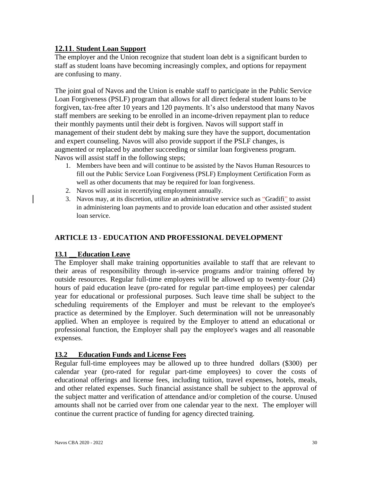# **12.11**. **Student Loan Support**

The employer and the Union recognize that student loan debt is a significant burden to staff as student loans have becoming increasingly complex, and options for repayment are confusing to many.

The joint goal of Navos and the Union is enable staff to participate in the Public Service Loan Forgiveness (PSLF) program that allows for all direct federal student loans to be forgiven, tax-free after 10 years and 120 payments. It's also understood that many Navos staff members are seeking to be enrolled in an income-driven repayment plan to reduce their monthly payments until their debt is forgiven. Navos will support staff in management of their student debt by making sure they have the support, documentation and expert counseling. Navos will also provide support if the PSLF changes, is augmented or replaced by another succeeding or similar loan forgiveness program. Navos will assist staff in the following steps;

- 1. Members have been and will continue to be assisted by the Navos Human Resources to fill out the Public Service Loan Forgiveness (PSLF) Employment Certification Form as well as other documents that may be required for loan forgiveness.
- 2. Navos will assist in recertifying employment annually.
- <span id="page-29-0"></span>3. Navos may, at its discretion, utilize an administrative service such as "Gradifi" to assist in administering loan payments and to provide loan education and other assisted student loan service.

# **ARTICLE 13 - EDUCATION AND PROFESSIONAL DEVELOPMENT**

# 13.1 **Education Leave**

The Employer shall make training opportunities available to staff that are relevant to their areas of responsibility through in-service programs and/or training offered by outside resources. Regular full-time employees will be allowed up to twenty-four (24) hours of paid education leave (pro-rated for regular part-time employees) per calendar year for educational or professional purposes. Such leave time shall be subject to the scheduling requirements of the Employer and must be relevant to the employee's practice as determined by the Employer. Such determination will not be unreasonably applied. When an employee is required by the Employer to attend an educational or professional function, the Employer shall pay the employee's wages and all reasonable expenses.

# **13.2 Education Funds and License Fees**

Regular full-time employees may be allowed up to three hundred dollars (\$300) per calendar year (pro-rated for regular part-time employees) to cover the costs of educational offerings and license fees, including tuition, travel expenses, hotels, meals, and other related expenses. Such financial assistance shall be subject to the approval of the subject matter and verification of attendance and/or completion of the course. Unused amounts shall not be carried over from one calendar year to the next. The employer will continue the current practice of funding for agency directed training.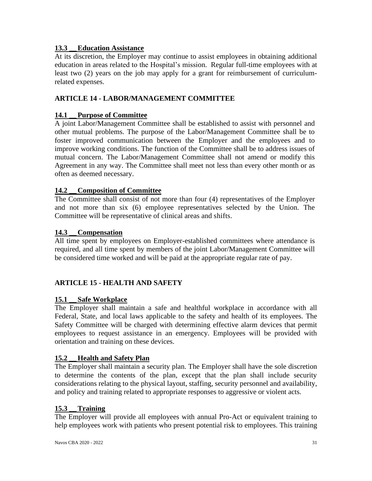# **13.3 \_\_Education Assistance**

At its discretion, the Employer may continue to assist employees in obtaining additional education in areas related to the Hospital's mission. Regular full-time employees with at least two (2) years on the job may apply for a grant for reimbursement of curriculumrelated expenses.

# <span id="page-30-0"></span>**ARTICLE 14 - LABOR/MANAGEMENT COMMITTEE**

# **14.1 \_\_Purpose of Committee**

A joint Labor/Management Committee shall be established to assist with personnel and other mutual problems. The purpose of the Labor/Management Committee shall be to foster improved communication between the Employer and the employees and to improve working conditions. The function of the Committee shall be to address issues of mutual concern. The Labor/Management Committee shall not amend or modify this Agreement in any way. The Committee shall meet not less than every other month or as often as deemed necessary.

# **14.2 \_\_ Composition of Committee**

The Committee shall consist of not more than four (4) representatives of the Employer and not more than six (6) employee representatives selected by the Union. The Committee will be representative of clinical areas and shifts.

# **14.3 \_\_ Compensation**

All time spent by employees on Employer-established committees where attendance is required, and all time spent by members of the joint Labor/Management Committee will be considered time worked and will be paid at the appropriate regular rate of pay.

# <span id="page-30-1"></span>**ARTICLE 15 - HEALTH AND SAFETY**

# **15.1 \_\_ Safe Workplace**

The Employer shall maintain a safe and healthful workplace in accordance with all Federal, State, and local laws applicable to the safety and health of its employees. The Safety Committee will be charged with determining effective alarm devices that permit employees to request assistance in an emergency. Employees will be provided with orientation and training on these devices.

# **15.2 \_\_Health and Safety Plan**

The Employer shall maintain a security plan. The Employer shall have the sole discretion to determine the contents of the plan, except that the plan shall include security considerations relating to the physical layout, staffing, security personnel and availability, and policy and training related to appropriate responses to aggressive or violent acts.

#### **15.3 \_\_Training**

The Employer will provide all employees with annual Pro-Act or equivalent training to help employees work with patients who present potential risk to employees. This training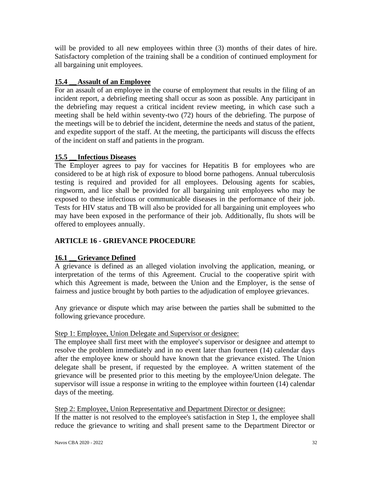will be provided to all new employees within three (3) months of their dates of hire. Satisfactory completion of the training shall be a condition of continued employment for all bargaining unit employees.

# **15.4 \_\_ Assault of an Employee**

For an assault of an employee in the course of employment that results in the filing of an incident report, a debriefing meeting shall occur as soon as possible. Any participant in the debriefing may request a critical incident review meeting, in which case such a meeting shall be held within seventy-two (72) hours of the debriefing. The purpose of the meetings will be to debrief the incident, determine the needs and status of the patient, and expedite support of the staff. At the meeting, the participants will discuss the effects of the incident on staff and patients in the program.

# **15.5 \_\_ Infectious Diseases**

The Employer agrees to pay for vaccines for Hepatitis B for employees who are considered to be at high risk of exposure to blood borne pathogens. Annual tuberculosis testing is required and provided for all employees. Delousing agents for scabies, ringworm, and lice shall be provided for all bargaining unit employees who may be exposed to these infectious or communicable diseases in the performance of their job. Tests for HIV status and TB will also be provided for all bargaining unit employees who may have been exposed in the performance of their job. Additionally, flu shots will be offered to employees annually.

# <span id="page-31-0"></span>**ARTICLE 16 - GRIEVANCE PROCEDURE**

# **16.1 • Grievance Defined**

A grievance is defined as an alleged violation involving the application, meaning, or interpretation of the terms of this Agreement. Crucial to the cooperative spirit with which this Agreement is made, between the Union and the Employer, is the sense of fairness and justice brought by both parties to the adjudication of employee grievances.

Any grievance or dispute which may arise between the parties shall be submitted to the following grievance procedure.

# Step 1: Employee, Union Delegate and Supervisor or designee:

The employee shall first meet with the employee's supervisor or designee and attempt to resolve the problem immediately and in no event later than fourteen (14) calendar days after the employee knew or should have known that the grievance existed. The Union delegate shall be present, if requested by the employee. A written statement of the grievance will be presented prior to this meeting by the employee/Union delegate. The supervisor will issue a response in writing to the employee within fourteen (14) calendar days of the meeting.

Step 2: Employee, Union Representative and Department Director or designee: If the matter is not resolved to the employee's satisfaction in Step 1, the employee shall reduce the grievance to writing and shall present same to the Department Director or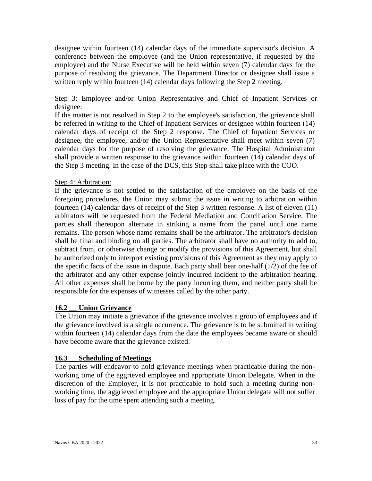designee within fourteen (14) calendar days of the immediate supervisor's decision. A conference between the employee (and the Union representative, if requested by the employee) and the Nurse Executive will be held within seven (7) calendar days for the purpose of resolving the grievance. The Department Director or designee shall issue a written reply within fourteen (14) calendar days following the Step 2 meeting.

# Step 3: Employee and/or Union Representative and Chief of Inpatient Services or designee:

If the matter is not resolved in Step 2 to the employee's satisfaction, the grievance shall be referred in writing to the Chief of Inpatient Services or designee within fourteen (14) calendar days of receipt of the Step 2 response. The Chief of Inpatient Services or designee, the employee, and/or the Union Representative shall meet within seven (7) calendar days for the purpose of resolving the grievance. The Hospital Administrator shall provide a written response to the grievance within fourteen (14) calendar days of the Step 3 meeting. In the case of the DCS, this Step shall take place with the COO.

# Step 4: Arbitration:

If the grievance is not settled to the satisfaction of the employee on the basis of the foregoing procedures, the Union may submit the issue in writing to arbitration within fourteen (14) calendar days of receipt of the Step 3 written response. A list of eleven (11) arbitrators will be requested from the Federal Mediation and Conciliation Service. The parties shall thereupon alternate in striking a name from the panel until one name remains. The person whose name remains shall be the arbitrator. The arbitrator's decision shall be final and binding on all parties. The arbitrator shall have no authority to add to, subtract from, or otherwise change or modify the provisions of this Agreement, but shall be authorized only to interpret existing provisions of this Agreement as they may apply to the specific facts of the issue in dispute. Each party shall bear one-half  $(1/2)$  of the fee of the arbitrator and any other expense jointly incurred incident to the arbitration hearing. All other expenses shall be borne by the party incurring them, and neither party shall be responsible for the expenses of witnesses called by the other party.

# **16.2 \_\_ Union Grievance**

The Union may initiate a grievance if the grievance involves a group of employees and if the grievance involved is a single occurrence. The grievance is to be submitted in writing within fourteen (14) calendar days from the date the employees became aware or should have become aware that the grievance existed.

#### **16.3 \_\_ Scheduling of Meetings**

The parties will endeavor to hold grievance meetings when practicable during the nonworking time of the aggrieved employee and appropriate Union Delegate. When in the discretion of the Employer, it is not practicable to hold such a meeting during nonworking time, the aggrieved employee and the appropriate Union delegate will not suffer loss of pay for the time spent attending such a meeting.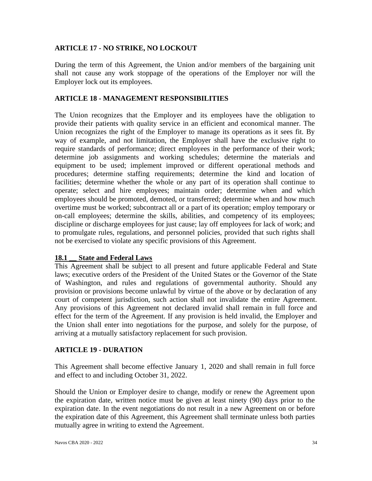# <span id="page-33-0"></span>**ARTICLE 17 - NO STRIKE, NO LOCKOUT**

During the term of this Agreement, the Union and/or members of the bargaining unit shall not cause any work stoppage of the operations of the Employer nor will the Employer lock out its employees.

# <span id="page-33-1"></span>**ARTICLE 18 - MANAGEMENT RESPONSIBILITIES**

The Union recognizes that the Employer and its employees have the obligation to provide their patients with quality service in an efficient and economical manner. The Union recognizes the right of the Employer to manage its operations as it sees fit. By way of example, and not limitation, the Employer shall have the exclusive right to require standards of performance; direct employees in the performance of their work; determine job assignments and working schedules; determine the materials and equipment to be used; implement improved or different operational methods and procedures; determine staffing requirements; determine the kind and location of facilities; determine whether the whole or any part of its operation shall continue to operate; select and hire employees; maintain order; determine when and which employees should be promoted, demoted, or transferred; determine when and how much overtime must be worked; subcontract all or a part of its operation; employ temporary or on-call employees; determine the skills, abilities, and competency of its employees; discipline or discharge employees for just cause; lay off employees for lack of work; and to promulgate rules, regulations, and personnel policies, provided that such rights shall not be exercised to violate any specific provisions of this Agreement.

# **18.1 \_\_ State and Federal Laws**

This Agreement shall be subject to all present and future applicable Federal and State laws; executive orders of the President of the United States or the Governor of the State of Washington, and rules and regulations of governmental authority. Should any provision or provisions become unlawful by virtue of the above or by declaration of any court of competent jurisdiction, such action shall not invalidate the entire Agreement. Any provisions of this Agreement not declared invalid shall remain in full force and effect for the term of the Agreement. If any provision is held invalid, the Employer and the Union shall enter into negotiations for the purpose, and solely for the purpose, of arriving at a mutually satisfactory replacement for such provision.

# **ARTICLE 19 - DURATION**

This Agreement shall become effective January 1, 2020 and shall remain in full force and effect to and including October 31, 2022.

Should the Union or Employer desire to change, modify or renew the Agreement upon the expiration date, written notice must be given at least ninety (90) days prior to the expiration date. In the event negotiations do not result in a new Agreement on or before the expiration date of this Agreement, this Agreement shall terminate unless both parties mutually agree in writing to extend the Agreement.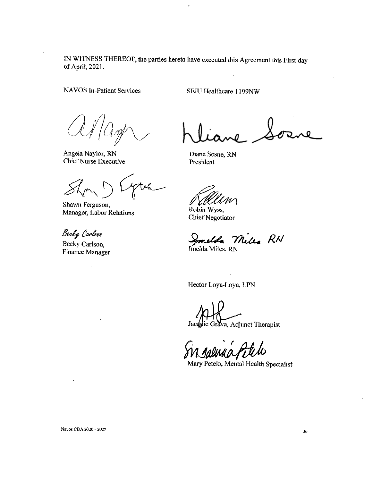IN WITNESS THEREOF, the parties hereto have executed this Agreement this First day of April, 2021.

**NAVOS In-Patient Services** 

SEIU Healthcare 1199NW

Angela Naylor, RN **Chief Nurse Executive** 

Shawn Ferguson, Manager, Labor Relations

Becky Carlson

Becky Carlson, Finance Manager

Diane Sosne, RN President

Robin Wyss, **Chief Negotiator** 

Smelda Miles RN

Hector Loya-Loya, LPN

Jacquie Grava, Adjunct Therapist

Mary Petelo, Mental Health Specialist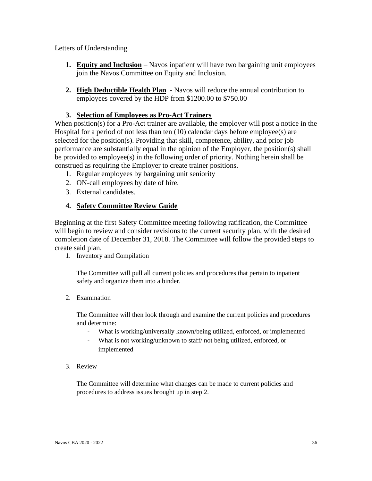Letters of Understanding

- **1. Equity and Inclusion** Navos inpatient will have two bargaining unit employees join the Navos Committee on Equity and Inclusion.
- **2. High Deductible Health Plan** Navos will reduce the annual contribution to employees covered by the HDP from \$1200.00 to \$750.00

#### **3. Selection of Employees as Pro-Act Trainers**

When position(s) for a Pro-Act trainer are available, the employer will post a notice in the Hospital for a period of not less than ten (10) calendar days before employee(s) are selected for the position(s). Providing that skill, competence, ability, and prior job performance are substantially equal in the opinion of the Employer, the position(s) shall be provided to employee(s) in the following order of priority. Nothing herein shall be construed as requiring the Employer to create trainer positions.

- 1. Regular employees by bargaining unit seniority
- 2. ON-call employees by date of hire.
- 3. External candidates.

### **4. Safety Committee Review Guide**

Beginning at the first Safety Committee meeting following ratification, the Committee will begin to review and consider revisions to the current security plan, with the desired completion date of December 31, 2018. The Committee will follow the provided steps to create said plan.

1. Inventory and Compilation

The Committee will pull all current policies and procedures that pertain to inpatient safety and organize them into a binder.

2. Examination

The Committee will then look through and examine the current policies and procedures and determine:

- What is working/universally known/being utilized, enforced, or implemented
- What is not working/unknown to staff/ not being utilized, enforced, or implemented
- 3. Review

The Committee will determine what changes can be made to current policies and procedures to address issues brought up in step 2.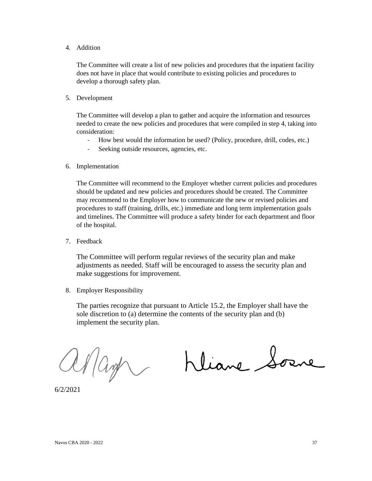4. Addition

The Committee will create a list of new policies and procedures that the inpatient facility does not have in place that would contribute to existing policies and procedures to develop a thorough safety plan.

5. Development

The Committee will develop a plan to gather and acquire the information and resources needed to create the new policies and procedures that were compiled in step 4, taking into consideration:

- How best would the information be used? (Policy, procedure, drill, codes, etc.)
- Seeking outside resources, agencies, etc.
- 6. Implementation

The Committee will recommend to the Employer whether current policies and procedures should be updated and new policies and procedures should be created. The Committee may recommend to the Employer how to communicate the new or revised policies and procedures to staff (training, drills, etc.) immediate and long term implementation goals and timelines. The Committee will produce a safety binder for each department and floor of the hospital.

7. Feedback

The Committee will perform regular reviews of the security plan and make adjustments as needed. Staff will be encouraged to assess the security plan and make suggestions for improvement.

8. Employer Responsibility

The parties recognize that pursuant to Article 15.2, the Employer shall have the sole discretion to (a) determine the contents of the security plan and (b) implement the security plan.

anage

Kliane Sorre

6/2/2021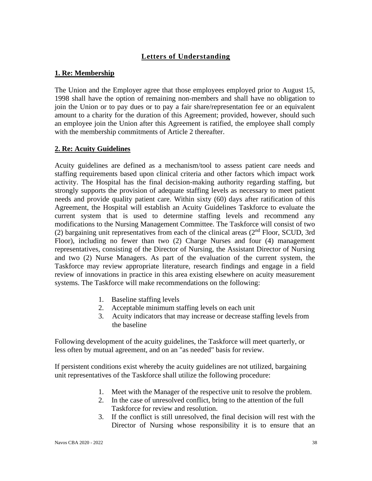# <span id="page-37-0"></span>**Letters of Understanding**

### <span id="page-37-1"></span>**1. Re: Membership**

The Union and the Employer agree that those employees employed prior to August 15, 1998 shall have the option of remaining non-members and shall have no obligation to join the Union or to pay dues or to pay a fair share/representation fee or an equivalent amount to a charity for the duration of this Agreement; provided, however, should such an employee join the Union after this Agreement is ratified, the employee shall comply with the membership commitments of Article 2 thereafter.

### **2. Re: Acuity Guidelines**

Acuity guidelines are defined as a mechanism/tool to assess patient care needs and staffing requirements based upon clinical criteria and other factors which impact work activity. The Hospital has the final decision-making authority regarding staffing, but strongly supports the provision of adequate staffing levels as necessary to meet patient needs and provide quality patient care. Within sixty (60) days after ratification of this Agreement, the Hospital will establish an Acuity Guidelines Taskforce to evaluate the current system that is used to determine staffing levels and recommend any modifications to the Nursing Management Committee. The Taskforce will consist of two (2) bargaining unit representatives from each of the clinical areas ( $2<sup>nd</sup>$  Floor, SCUD, 3rd Floor), including no fewer than two (2) Charge Nurses and four (4) management representatives, consisting of the Director of Nursing, the Assistant Director of Nursing and two (2) Nurse Managers. As part of the evaluation of the current system, the Taskforce may review appropriate literature, research findings and engage in a field review of innovations in practice in this area existing elsewhere on acuity measurement systems. The Taskforce will make recommendations on the following:

- 1. Baseline staffing levels
- 2. Acceptable minimum staffing levels on each unit
- 3. Acuity indicators that may increase or decrease staffing levels from the baseline

Following development of the acuity guidelines, the Taskforce will meet quarterly, or less often by mutual agreement, and on an "as needed" basis for review.

If persistent conditions exist whereby the acuity guidelines are not utilized, bargaining unit representatives of the Taskforce shall utilize the following procedure:

- 1. Meet with the Manager of the respective unit to resolve the problem.
- 2. In the case of unresolved conflict, bring to the attention of the full Taskforce for review and resolution.
- 3. If the conflict is still unresolved, the final decision will rest with the Director of Nursing whose responsibility it is to ensure that an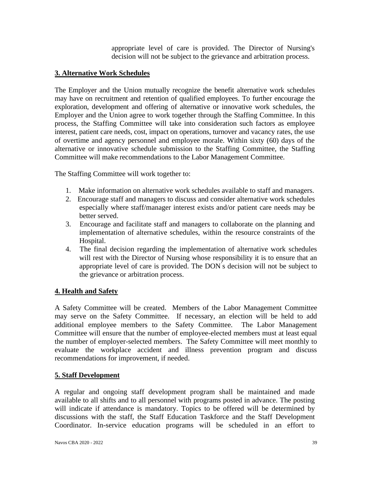appropriate level of care is provided. The Director of Nursing's decision will not be subject to the grievance and arbitration process.

# <span id="page-38-0"></span>**3. Alternative Work Schedules**

The Employer and the Union mutually recognize the benefit alternative work schedules may have on recruitment and retention of qualified employees. To further encourage the exploration, development and offering of alternative or innovative work schedules, the Employer and the Union agree to work together through the Staffing Committee. In this process, the Staffing Committee will take into consideration such factors as employee interest, patient care needs, cost, impact on operations, turnover and vacancy rates, the use of overtime and agency personnel and employee morale. Within sixty (60) days of the alternative or innovative schedule submission to the Staffing Committee, the Staffing Committee will make recommendations to the Labor Management Committee.

The Staffing Committee will work together to:

- 1. Make information on alternative work schedules available to staff and managers.
- 2. Encourage staff and managers to discuss and consider alternative work schedules especially where staff/manager interest exists and/or patient care needs may be better served.
- 3. Encourage and facilitate staff and managers to collaborate on the planning and implementation of alternative schedules, within the resource constraints of the Hospital.
- 4. The final decision regarding the implementation of alternative work schedules will rest with the Director of Nursing whose responsibility it is to ensure that an appropriate level of care is provided. The DON' s decision will not be subject to the grievance or arbitration process.

#### **4. Health and Safety**

A Safety Committee will be created. Members of the Labor Management Committee may serve on the Safety Committee. If necessary, an election will be held to add additional employee members to the Safety Committee. The Labor Management Committee will ensure that the number of employee-elected members must at least equal the number of employer-selected members. The Safety Committee will meet monthly to evaluate the workplace accident and illness prevention program and discuss recommendations for improvement, if needed.

#### **5. Staff Development**

A regular and ongoing staff development program shall be maintained and made available to all shifts and to all personnel with programs posted in advance. The posting will indicate if attendance is mandatory. Topics to be offered will be determined by discussions with the staff, the Staff Education Taskforce and the Staff Development Coordinator. In-service education programs will be scheduled in an effort to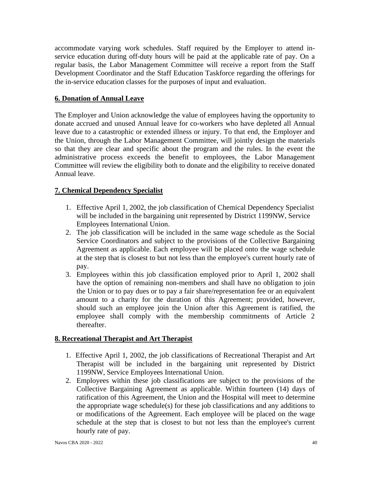<span id="page-39-0"></span>accommodate varying work schedules. Staff required by the Employer to attend inservice education during off-duty hours will be paid at the applicable rate of pay. On a regular basis, the Labor Management Committee will receive a report from the Staff Development Coordinator and the Staff Education Taskforce regarding the offerings for the in-service education classes for the purposes of input and evaluation.

### **6. Donation of Annual Leave**

The Employer and Union acknowledge the value of employees having the opportunity to donate accrued and unused Annual leave for co-workers who have depleted all Annual leave due to a catastrophic or extended illness or injury. To that end, the Employer and the Union, through the Labor Management Committee, will jointly design the materials so that they are clear and specific about the program and the rules. In the event the administrative process exceeds the benefit to employees, the Labor Management Committee will review the eligibility both to donate and the eligibility to receive donated Annual leave.

### **7. Chemical Dependency Specialist**

- 1. Effective April 1, 2002, the job classification of Chemical Dependency Specialist will be included in the bargaining unit represented by District 1199NW, Service Employees International Union.
- 2. The job classification will be included in the same wage schedule as the Social Service Coordinators and subject to the provisions of the Collective Bargaining Agreement as applicable. Each employee will be placed onto the wage schedule at the step that is closest to but not less than the employee's current hourly rate of pay.
- 3. Employees within this job classification employed prior to April 1, 2002 shall have the option of remaining non-members and shall have no obligation to join the Union or to pay dues or to pay a fair share/representation fee or an equivalent amount to a charity for the duration of this Agreement; provided, however, should such an employee join the Union after this Agreement is ratified, the employee shall comply with the membership commitments of Article 2 thereafter.

# **8. Recreational Therapist and Art Therapist**

- 1. Effective April 1, 2002, the job classifications of Recreational Therapist and Art Therapist will be included in the bargaining unit represented by District 1199NW, Service Employees International Union.
- 2. Employees within these job classifications are subject to the provisions of the Collective Bargaining Agreement as applicable. Within fourteen (14) days of ratification of this Agreement, the Union and the Hospital will meet to determine the appropriate wage schedule(s) for these job classifications and any additions to or modifications of the Agreement. Each employee will be placed on the wage schedule at the step that is closest to but not less than the employee's current hourly rate of pay.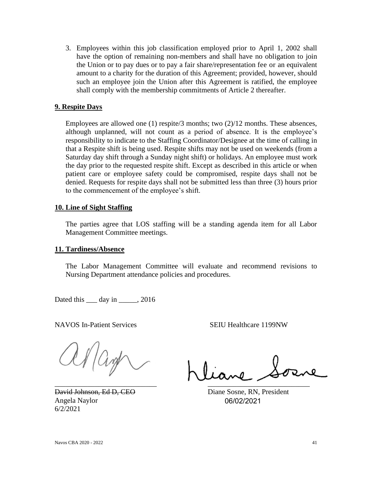3. Employees within this job classification employed prior to April 1, 2002 shall have the option of remaining non-members and shall have no obligation to join the Union or to pay dues or to pay a fair share/representation fee or an equivalent amount to a charity for the duration of this Agreement; provided, however, should such an employee join the Union after this Agreement is ratified, the employee shall comply with the membership commitments of Article 2 thereafter.

#### **9. Respite Days**

Employees are allowed one  $(1)$  respite/3 months; two  $(2)/12$  months. These absences, although unplanned, will not count as a period of absence. It is the employee's responsibility to indicate to the Staffing Coordinator/Designee at the time of calling in that a Respite shift is being used. Respite shifts may not be used on weekends (from a Saturday day shift through a Sunday night shift) or holidays. An employee must work the day prior to the requested respite shift. Except as described in this article or when patient care or employee safety could be compromised, respite days shall not be denied. Requests for respite days shall not be submitted less than three (3) hours prior to the commencement of the employee's shift.

#### **10. Line of Sight Staffing**

The parties agree that LOS staffing will be a standing agenda item for all Labor Management Committee meetings.

#### **11. Tardiness/Absence**

The Labor Management Committee will evaluate and recommend revisions to Nursing Department attendance policies and procedures.

Dated this \_\_\_ day in \_\_\_\_\_, 2016

NAVOS In-Patient Services SEIU Healthcare 1199NW

ar/ang

David Johnson, Ed D, CEO Diane Sosne, RN, President Angela Naylor 6/2/2021

\_\_\_\_\_\_\_\_\_\_\_\_\_\_\_\_\_\_\_\_\_\_\_\_\_\_\_\_ \_\_\_\_\_\_\_\_\_\_\_\_\_\_\_\_\_\_\_\_\_\_\_\_\_\_\_\_

06/02/2021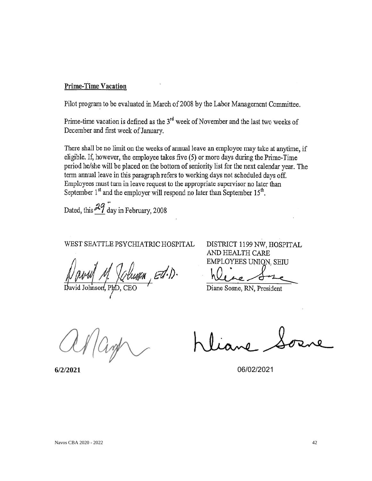#### **Prime-Time Vacation**

Pilot program to be evaluated in March of 2008 by the Labor Management Committee.

Prime-time vacation is defined as the  $3<sup>rd</sup>$  week of November and the last two weeks of December and first week of January.

There shall be no limit on the weeks of annual leave an employee may take at anytime, if eligible. If, however, the employee takes five (5) or more days during the Prime-Time period he/she will be placed on the bottom of seniority list for the next calendar year. The term annual leave in this paragraph refers to working days not scheduled days off. Employees must turn in leave request to the appropriate supervisor no later than September 1<sup>st</sup> and the employer will respond no later than September 15<sup>th</sup>.

Dated, this  $\frac{29}{1}$  day in February, 2008

# WEST SEATTLE PSYCHIATRIC HOSPITAL

DISTRICT 1199 NW, HOSPITAL AND HEALTH CARE EMPLOYEES UNION, SEIU

Diane Sosne, RN, President

**6/2/2021** 06/02/2021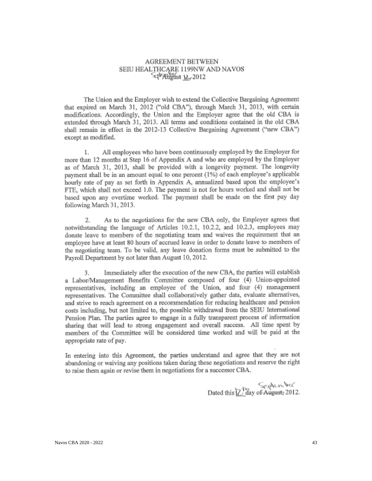#### **AGREEMENT BETWEEN** SEIU HEALTHCARE 1199NW AND NAVOS Self August 12, 2012

The Union and the Employer wish to extend the Collective Bargaining Agreement that expired on March 31, 2012 ("old CBA"), through March 31, 2013, with certain modifications. Accordingly, the Union and the Employer agree that the old CBA is extended through March 31, 2013. All terms and conditions contained in the old CBA shall remain in effect in the 2012-13 Collective Bargaining Agreement ("new CBA") except as modified.

1. All employees who have been continuously employed by the Employer for more than 12 months at Step 16 of Appendix A and who are employed by the Employer as of March 31, 2013, shall be provided with a longevity payment. The longevity payment shall be in an amount equal to one percent (1%) of each employee's applicable hourly rate of pay as set forth in Appendix A, annualized based upon the employee's FTE, which shall not exceed 1.0. The payment is not for hours worked and shall not be based upon any overtime worked. The payment shall be made on the first pay day following March 31, 2013.

As to the negotiations for the new CBA only, the Employer agrees that 2. notwithstanding the language of Articles 10.2.1, 10.2.2, and 10.2.3, employees may donate leave to members of the negotiating team and waives the requirement that an employee have at least 80 hours of accrued leave in order to donate leave to members of the negotiating team. To be valid, any leave donation forms must be submitted to the Payroll Department by not later than August 10, 2012.

3. Immediately after the execution of the new CBA, the parties will establish a Labor/Management Benefits Committee composed of four (4) Union-appointed representatives, including an employee of the Union, and four (4) management representatives. The Committee shall collaboratively gather data, evaluate alternatives, and strive to reach agreement on a recommendation for reducing healthcare and pension costs including, but not limited to, the possible withdrawal from the SEIU International Pension Plan. The parties agree to engage in a fully transparent process of information sharing that will lead to strong engagement and overall success. All time spent by members of the Committee will be considered time worked and will be paid at the appropriate rate of pay.

In entering into this Agreement, the parties understand and agree that they are not abandoning or waiving any positions taken during these negotiations and reserve the right to raise them again or revise them in negotiations for a successor CBA.

Sechenber<br>Dated this *D* day of August, 2012.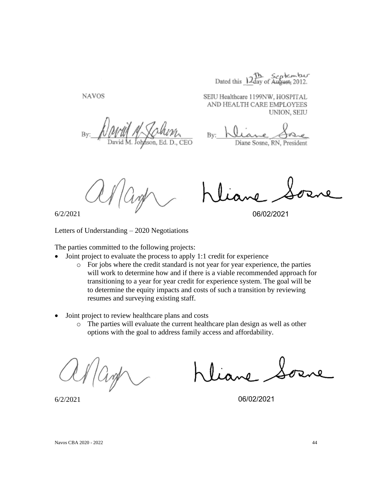Dated this 12th September

**NAVOS** 

SEIU Healthcare 1199NW, HOSPITAL AND HEALTH CARE EMPLOYEES UNION, SEIU

By:

Diane Sosne, RN, President

6/2/2021

06/02/2021

Letters of Understanding – 2020 Negotiations

The parties committed to the following projects:

- Joint project to evaluate the process to apply 1:1 credit for experience
	- o For jobs where the credit standard is not year for year experience, the parties will work to determine how and if there is a viable recommended approach for transitioning to a year for year credit for experience system. The goal will be to determine the equity impacts and costs of such a transition by reviewing resumes and surveying existing staff.
- Joint project to review healthcare plans and costs
	- o The parties will evaluate the current healthcare plan design as well as other options with the goal to address family access and affordability.

06/02/2021

6/2/2021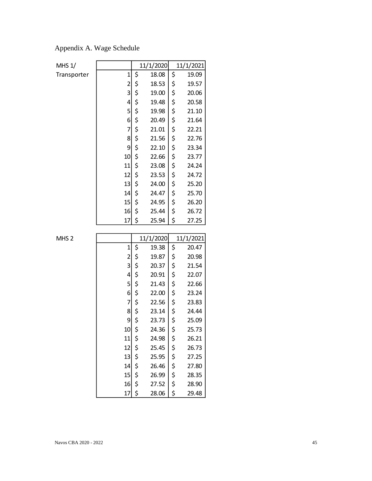| Appendix A. Wage Schedule |
|---------------------------|
|---------------------------|

| MHS 1/           |                         |    | 11/1/2020 |    | 11/1/2021 |
|------------------|-------------------------|----|-----------|----|-----------|
| Transporter      | 1                       | \$ | 18.08     | \$ | 19.09     |
|                  | $\overline{c}$          | \$ | 18.53     | \$ | 19.57     |
|                  | 3                       | \$ | 19.00     | \$ | 20.06     |
|                  | 4                       | \$ | 19.48     | \$ | 20.58     |
|                  | 5                       | \$ | 19.98     | \$ | 21.10     |
|                  | 6                       | \$ | 20.49     | \$ | 21.64     |
|                  | 7                       | \$ | 21.01     | \$ | 22.21     |
|                  | 8                       | \$ | 21.56     | \$ | 22.76     |
|                  | 9                       | \$ | 22.10     | \$ | 23.34     |
|                  | 10                      | \$ | 22.66     | \$ | 23.77     |
|                  | 11                      | \$ | 23.08     | \$ | 24.24     |
|                  | 12                      | \$ | 23.53     | \$ | 24.72     |
|                  | 13                      | \$ | 24.00     | \$ | 25.20     |
|                  | 14                      | \$ | 24.47     | \$ | 25.70     |
|                  | 15                      | \$ | 24.95     | \$ | 26.20     |
|                  | 16                      | \$ | 25.44     | \$ | 26.72     |
|                  | 17                      | \$ | 25.94     | \$ | 27.25     |
|                  |                         |    |           |    |           |
|                  |                         |    |           |    |           |
| MHS <sub>2</sub> |                         |    | 11/1/2020 |    | 11/1/2021 |
|                  | $\mathbf 1$             | \$ | 19.38     | \$ | 20.47     |
|                  | $\overline{\mathbf{c}}$ | \$ | 19.87     | \$ | 20.98     |
|                  | 3                       | \$ | 20.37     | \$ | 21.54     |
|                  | 4                       | \$ | 20.91     | \$ | 22.07     |
|                  | 5                       | \$ | 21.43     | \$ | 22.66     |
|                  | 6                       | \$ | 22.00     | \$ | 23.24     |
|                  | 7                       | \$ | 22.56     | \$ | 23.83     |
|                  | 8                       | \$ | 23.14     | \$ | 24.44     |
|                  | 9                       | \$ | 23.73     | \$ | 25.09     |
|                  | 10 <sup>1</sup>         | Ś  | 24.36     | Ś  | 25.73     |
|                  | 11                      | \$ | 24.98     | \$ | 26.21     |
|                  | 12                      | \$ | 25.45     | \$ | 26.73     |
|                  | 13                      | \$ | 25.95     | \$ | 27.25     |
|                  | 14                      | \$ | 26.46     | \$ | 27.80     |
|                  | 15                      | \$ | 26.99     | \$ | 28.35     |
|                  | 16                      | \$ | 27.52     | \$ | 28.90     |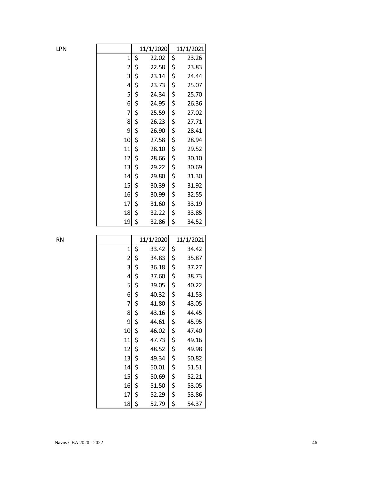| LPN |                | 11/1/2020   | 11/1/2021   |
|-----|----------------|-------------|-------------|
|     | $\mathbf 1$    | \$<br>22.02 | \$<br>23.26 |
|     | $\overline{c}$ | \$<br>22.58 | \$<br>23.83 |
|     | 3              | \$<br>23.14 | \$<br>24.44 |
|     | 4              | \$<br>23.73 | \$<br>25.07 |
|     | 5              | \$<br>24.34 | \$<br>25.70 |
|     | 6              | \$<br>24.95 | \$<br>26.36 |
|     | 7              | \$<br>25.59 | \$<br>27.02 |
|     | 8              | \$<br>26.23 | \$<br>27.71 |
|     | 9              | \$<br>26.90 | \$<br>28.41 |
|     | 10             | \$<br>27.58 | \$<br>28.94 |
|     | 11             | \$<br>28.10 | \$<br>29.52 |
|     | 12             | \$<br>28.66 | \$<br>30.10 |
|     | 13             | \$<br>29.22 | \$<br>30.69 |
|     | 14             | \$<br>29.80 | \$<br>31.30 |
|     | 15             | \$<br>30.39 | \$<br>31.92 |
|     | 16             | \$<br>30.99 | \$<br>32.55 |
|     | 17             | \$<br>31.60 | \$<br>33.19 |
|     | 18             | \$<br>32.22 | \$<br>33.85 |
|     | 19             | \$<br>32.86 | \$<br>34.52 |
|     |                |             |             |

| RN |                | 11/1/2020   | 11/1/2021   |
|----|----------------|-------------|-------------|
|    | $\mathbf{1}$   | \$<br>33.42 | \$<br>34.42 |
|    | $\overline{c}$ | \$<br>34.83 | \$<br>35.87 |
|    | 3              | \$<br>36.18 | \$<br>37.27 |
|    | 4              | \$<br>37.60 | \$<br>38.73 |
|    | 5              | \$<br>39.05 | \$<br>40.22 |
|    | 6              | \$<br>40.32 | \$<br>41.53 |
|    | 7              | \$<br>41.80 | \$<br>43.05 |
|    | 8              | \$<br>43.16 | \$<br>44.45 |
|    | 9              | \$<br>44.61 | \$<br>45.95 |
|    | 10             | \$<br>46.02 | \$<br>47.40 |
|    | 11             | \$<br>47.73 | \$<br>49.16 |
|    | 12             | \$<br>48.52 | \$<br>49.98 |
|    | 13             | \$<br>49.34 | \$<br>50.82 |
|    | 14             | \$<br>50.01 | \$<br>51.51 |
|    | 15             | \$<br>50.69 | \$<br>52.21 |
|    | 16             | \$<br>51.50 | \$<br>53.05 |
|    | 17             | \$<br>52.29 | \$<br>53.86 |
|    | 18             | \$<br>52.79 | \$<br>54.37 |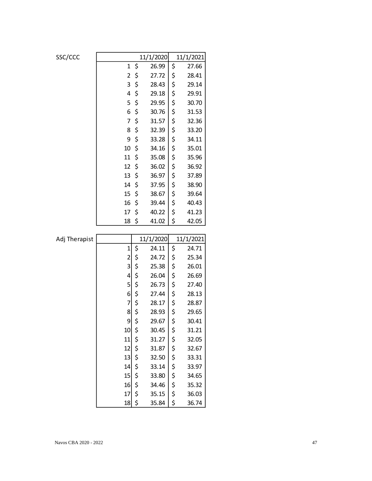| SSC/CCC       |                |          | 11/1/2020 |          | 11/1/2021 |
|---------------|----------------|----------|-----------|----------|-----------|
|               | $\mathbf 1$    | \$       | 26.99     | \$       | 27.66     |
|               | $\overline{2}$ | \$       | 27.72     | \$       | 28.41     |
|               | 3              | \$       | 28.43     | \$       | 29.14     |
|               | 4              | \$       | 29.18     | \$       | 29.91     |
|               | 5              | \$       | 29.95     | \$       | 30.70     |
|               | 6              | \$       | 30.76     | \$       | 31.53     |
|               | 7              | \$       | 31.57     | \$       | 32.36     |
|               | 8              | \$       | 32.39     | \$       | 33.20     |
|               | 9              | \$       | 33.28     | \$       | 34.11     |
|               | 10             | \$       | 34.16     | \$       | 35.01     |
|               | 11             | \$       | 35.08     | \$       | 35.96     |
|               | 12             | \$       | 36.02     | \$       | 36.92     |
|               | 13             | \$       | 36.97     | \$       | 37.89     |
|               | 14             | \$       | 37.95     | \$       | 38.90     |
|               | 15             | \$       | 38.67     | \$       | 39.64     |
|               | 16             | \$       | 39.44     | \$       | 40.43     |
|               | 17             | \$       | 40.22     | \$       | 41.23     |
|               | 18             | \$       | 41.02     | \$       | 42.05     |
|               |                |          |           |          |           |
|               |                |          |           |          |           |
| Adj Therapist |                |          | 11/1/2020 |          | 11/1/2021 |
|               | $\mathbf{1}$   | \$       | 24.11     | \$       | 24.71     |
|               | $\overline{c}$ | \$       | 24.72     | \$       | 25.34     |
|               | 3              | \$       | 25.38     | \$       | 26.01     |
|               | 4              | \$       | 26.04     | \$       | 26.69     |
|               | 5              | \$       | 26.73     | \$       | 27.40     |
|               | 6              | \$       | 27.44     | \$       | 28.13     |
|               | 7              | \$       | 28.17     | \$       | 28.87     |
|               | 8              | \$       | 28.93     | \$       | 29.65     |
|               | 9              | \$       | 29.67     | \$       | 30.41     |
|               | 10             | \$       | 30.45     | \$       | 31.21     |
|               | 11             | \$       | 31.27     | \$       | 32.05     |
|               | 12             | \$       | 31.87     | \$       | 32.67     |
|               | 13             | \$       | 32.50     | \$       | 33.31     |
|               | 14             | \$       | 33.14     | \$       | 33.97     |
|               | 15             | \$       | 33.80     | \$       | 34.65     |
|               | 16             | \$       | 34.46     | \$       | 35.32     |
|               | 17             | \$<br>\$ | 35.15     | \$<br>\$ | 36.03     |